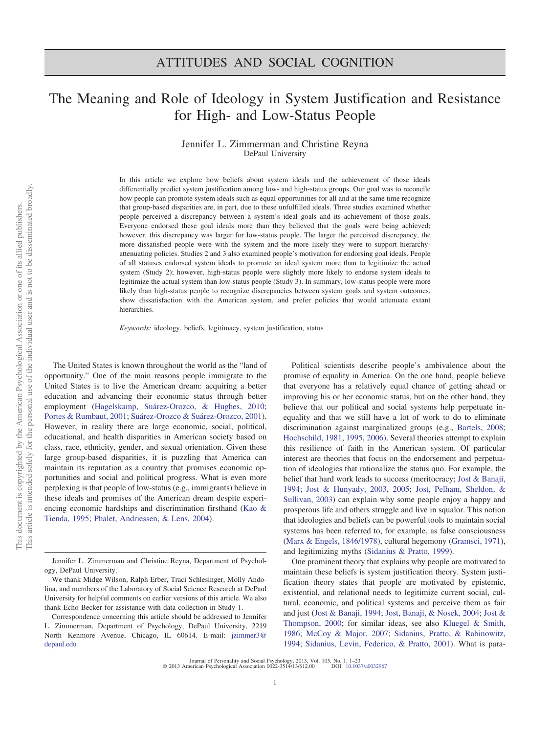# The Meaning and Role of Ideology in System Justification and Resistance for High- and Low-Status People

Jennifer L. Zimmerman and Christine Reyna DePaul University

In this article we explore how beliefs about system ideals and the achievement of those ideals differentially predict system justification among low- and high-status groups. Our goal was to reconcile how people can promote system ideals such as equal opportunities for all and at the same time recognize that group-based disparities are, in part, due to these unfulfilled ideals. Three studies examined whether people perceived a discrepancy between a system's ideal goals and its achievement of those goals. Everyone endorsed these goal ideals more than they believed that the goals were being achieved; however, this discrepancy was larger for low-status people. The larger the perceived discrepancy, the more dissatisfied people were with the system and the more likely they were to support hierarchyattenuating policies. Studies 2 and 3 also examined people's motivation for endorsing goal ideals. People of all statuses endorsed system ideals to promote an ideal system more than to legitimize the actual system (Study 2); however, high-status people were slightly more likely to endorse system ideals to legitimize the actual system than low-status people (Study 3). In summary, low-status people were more likely than high-status people to recognize discrepancies between system goals and system outcomes, show dissatisfaction with the American system, and prefer policies that would attenuate extant hierarchies.

*Keywords:* ideology, beliefs, legitimacy, system justification, status

The United States is known throughout the world as the "land of opportunity." One of the main reasons people immigrate to the United States is to live the American dream: acquiring a better education and advancing their economic status through better employment [\(Hagelskamp, Suárez-Orozco, & Hughes, 2010;](#page-16-0) [Portes & Rumbaut, 2001;](#page-17-0) [Suárez-Orozco & Suárez-Orozco, 2001\)](#page-18-0). However, in reality there are large economic, social, political, educational, and health disparities in American society based on class, race, ethnicity, gender, and sexual orientation. Given these large group-based disparities, it is puzzling that America can maintain its reputation as a country that promises economic opportunities and social and political progress. What is even more perplexing is that people of low-status (e.g., immigrants) believe in these ideals and promises of the American dream despite experiencing economic hardships and discrimination firsthand [\(Kao &](#page-16-1) [Tienda, 1995;](#page-16-1) [Phalet, Andriessen, & Lens, 2004\)](#page-17-1).

Correspondence concerning this article should be addressed to Jennifer L. Zimmerman, Department of Psychology, DePaul University, 2219 North Kenmore Avenue, Chicago, IL 60614. E-mail: [jzimmer3@](mailto:jzimmer3@depaul.edu) [depaul.edu](mailto:jzimmer3@depaul.edu)

Political scientists describe people's ambivalence about the promise of equality in America. On the one hand, people believe that everyone has a relatively equal chance of getting ahead or improving his or her economic status, but on the other hand, they believe that our political and social systems help perpetuate inequality and that we still have a lot of work to do to eliminate discrimination against marginalized groups (e.g., [Bartels, 2008;](#page-16-2) [Hochschild, 1981,](#page-16-3) [1995,](#page-16-4) [2006\).](#page-16-5) Several theories attempt to explain this resilience of faith in the American system. Of particular interest are theories that focus on the endorsement and perpetuation of ideologies that rationalize the status quo. For example, the belief that hard work leads to success (meritocracy; [Jost & Banaji,](#page-16-6) [1994;](#page-16-6) [Jost & Hunyady, 2003,](#page-16-7) [2005;](#page-16-8) [Jost, Pelham, Sheldon, &](#page-16-9) [Sullivan, 2003\)](#page-16-9) can explain why some people enjoy a happy and prosperous life and others struggle and live in squalor. This notion that ideologies and beliefs can be powerful tools to maintain social systems has been referred to, for example, as false consciousness [\(Marx & Engels, 1846/1978\)](#page-17-2), cultural hegemony [\(Gramsci, 1971\)](#page-16-10), and legitimizing myths [\(Sidanius & Pratto, 1999\)](#page-17-3).

One prominent theory that explains why people are motivated to maintain these beliefs is system justification theory. System justification theory states that people are motivated by epistemic, existential, and relational needs to legitimize current social, cultural, economic, and political systems and perceive them as fair and just [\(Jost & Banaji, 1994;](#page-16-6) [Jost, Banaji, & Nosek, 2004;](#page-16-11) [Jost &](#page-16-12) [Thompson, 2000;](#page-16-12) for similar ideas, see also [Kluegel & Smith,](#page-17-4) [1986;](#page-17-4) [McCoy & Major, 2007;](#page-17-5) [Sidanius, Pratto, & Rabinowitz,](#page-17-6) [1994;](#page-17-6) [Sidanius, Levin, Federico, & Pratto, 2001\)](#page-17-7). What is para-

Journal of Personality and Social Psychology, 2013, Vol. 105, No. 1, 1–23 © 2013 American Psychological Association 0022-3514/13/\$12.00 DOI: [10.1037/a0032967](http://dx.doi.org/10.1037/a0032967)

Jennifer L. Zimmerman and Christine Reyna, Department of Psychology, DePaul University.

We thank Midge Wilson, Ralph Erber, Traci Schlesinger, Molly Andolina, and members of the Laboratory of Social Science Research at DePaul University for helpful comments on earlier versions of this article. We also thank Echo Becker for assistance with data collection in Study 1.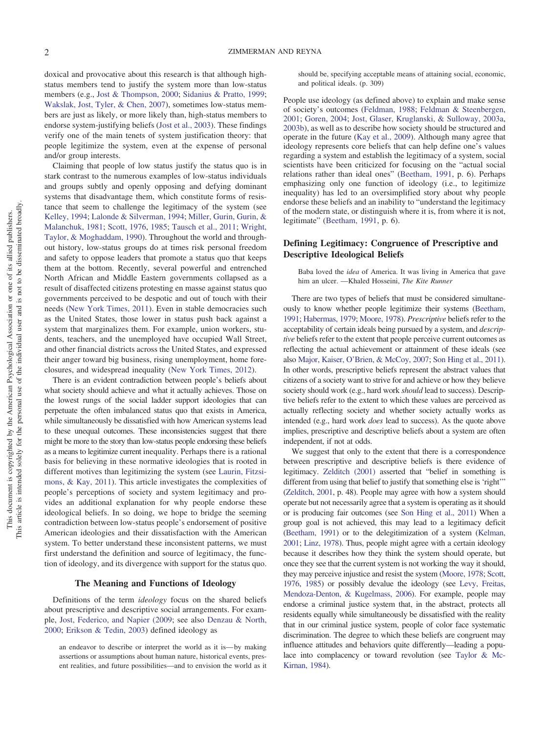doxical and provocative about this research is that although highstatus members tend to justify the system more than low-status members (e.g., [Jost & Thompson, 2000;](#page-16-12) [Sidanius & Pratto, 1999;](#page-17-3) [Wakslak, Jost, Tyler, & Chen, 2007\)](#page-18-1), sometimes low-status members are just as likely, or more likely than, high-status members to endorse system-justifying beliefs [\(Jost et al., 2003\)](#page-16-9). These findings verify one of the main tenets of system justification theory: that people legitimize the system, even at the expense of personal and/or group interests.

Claiming that people of low status justify the status quo is in stark contrast to the numerous examples of low-status individuals and groups subtly and openly opposing and defying dominant systems that disadvantage them, which constitute forms of resistance that seem to challenge the legitimacy of the system (see [Kelley, 1994;](#page-17-8) [Lalonde & Silverman, 1994;](#page-17-9) [Miller, Gurin, Gurin, &](#page-17-10) [Malanchuk, 1981;](#page-17-10) [Scott, 1976,](#page-17-11) [1985;](#page-17-12) [Tausch et al., 2011;](#page-18-2) [Wright,](#page-18-3) [Taylor, & Moghaddam, 1990\)](#page-18-3). Throughout the world and throughout history, low-status groups do at times risk personal freedom and safety to oppose leaders that promote a status quo that keeps them at the bottom. Recently, several powerful and entrenched North African and Middle Eastern governments collapsed as a result of disaffected citizens protesting en masse against status quo governments perceived to be despotic and out of touch with their needs [\(New York Times, 2011\)](#page-17-13). Even in stable democracies such as the United States, those lower in status push back against a system that marginalizes them. For example, union workers, students, teachers, and the unemployed have occupied Wall Street, and other financial districts across the United States, and expressed their anger toward big business, rising unemployment, home foreclosures, and widespread inequality [\(New York Times, 2012\)](#page-17-14).

There is an evident contradiction between people's beliefs about what society should achieve and what it actually achieves. Those on the lowest rungs of the social ladder support ideologies that can perpetuate the often imbalanced status quo that exists in America, while simultaneously be dissatisfied with how American systems lead to these unequal outcomes. These inconsistencies suggest that there might be more to the story than low-status people endorsing these beliefs as a means to legitimize current inequality. Perhaps there is a rational basis for believing in these normative ideologies that is rooted in different motives than legitimizing the system (see [Laurin, Fitzsi](#page-17-15)[mons, & Kay, 2011\)](#page-17-15). This article investigates the complexities of people's perceptions of society and system legitimacy and provides an additional explanation for why people endorse these ideological beliefs. In so doing, we hope to bridge the seeming contradiction between low-status people's endorsement of positive American ideologies and their dissatisfaction with the American system. To better understand these inconsistent patterns, we must first understand the definition and source of legitimacy, the function of ideology, and its divergence with support for the status quo.

#### **The Meaning and Functions of Ideology**

Definitions of the term *ideology* focus on the shared beliefs about prescriptive and descriptive social arrangements. For example, [Jost, Federico, and Napier \(2009;](#page-16-13) see also [Denzau & North,](#page-16-14) [2000;](#page-16-14) [Erikson & Tedin, 2003\)](#page-16-15) defined ideology as

should be, specifying acceptable means of attaining social, economic, and political ideals. (p. 309)

People use ideology (as defined above) to explain and make sense of society's outcomes [\(Feldman, 1988;](#page-16-16) [Feldman & Steenbergen,](#page-16-17) [2001;](#page-16-17) [Goren, 2004;](#page-16-18) [Jost, Glaser, Kruglanski, & Sulloway, 2003a,](#page-16-19) [2003b\)](#page-16-20), as well as to describe how society should be structured and operate in the future [\(Kay et al., 2009\)](#page-16-21). Although many agree that ideology represents core beliefs that can help define one's values regarding a system and establish the legitimacy of a system, social scientists have been criticized for focusing on the "actual social relations rather than ideal ones" [\(Beetham, 1991,](#page-16-22) p. 6). Perhaps emphasizing only one function of ideology (i.e., to legitimize inequality) has led to an oversimplified story about why people endorse these beliefs and an inability to "understand the legitimacy of the modern state, or distinguish where it is, from where it is not, legitimate" [\(Beetham, 1991,](#page-16-22) p. 6).

# **Defining Legitimacy: Congruence of Prescriptive and Descriptive Ideological Beliefs**

Baba loved the *idea* of America. It was living in America that gave him an ulcer. —Khaled Hosseini, *The Kite Runner*

There are two types of beliefs that must be considered simultaneously to know whether people legitimize their systems [\(Beetham,](#page-16-22) [1991;](#page-16-22) [Habermas, 1979;](#page-16-23) [Moore, 1978\)](#page-17-16). *Prescriptive* beliefs refer to the acceptability of certain ideals being pursued by a system, and *descriptive* beliefs refer to the extent that people perceive current outcomes as reflecting the actual achievement or attainment of these ideals (see also [Major, Kaiser, O'Brien, & McCoy, 2007;](#page-17-17) [Son Hing et al., 2011\)](#page-17-18). In other words, prescriptive beliefs represent the abstract values that citizens of a society want to strive for and achieve or how they believe society should work (e.g., hard work *should* lead to success). Descriptive beliefs refer to the extent to which these values are perceived as actually reflecting society and whether society actually works as intended (e.g., hard work *does* lead to success). As the quote above implies, prescriptive and descriptive beliefs about a system are often independent, if not at odds.

We suggest that only to the extent that there is a correspondence between prescriptive and descriptive beliefs is there evidence of legitimacy. [Zelditch \(2001\)](#page-18-4) asserted that "belief in something is different from using that belief to justify that something else is 'right'" [\(Zelditch, 2001,](#page-18-4) p. 48). People may agree with how a system should operate but not necessarily agree that a system is operating as it should or is producing fair outcomes (see [Son Hing et al., 2011\)](#page-17-18) When a group goal is not achieved, this may lead to a legitimacy deficit [\(Beetham, 1991\)](#page-16-22) or to the delegitimization of a system [\(Kelman,](#page-17-19) [2001;](#page-17-19) [Linz, 1978\)](#page-17-20). Thus, people might agree with a certain ideology because it describes how they think the system should operate, but once they see that the current system is not working the way it should, they may perceive injustice and resist the system [\(Moore, 1978;](#page-17-16) [Scott,](#page-17-11) [1976,](#page-17-11) [1985\)](#page-17-12) or possibly devalue the ideology (see [Levy, Freitas,](#page-17-21) [Mendoza-Denton, & Kugelmass, 2006\)](#page-17-21). For example, people may endorse a criminal justice system that, in the abstract, protects all residents equally while simultaneously be dissatisfied with the reality that in our criminal justice system, people of color face systematic discrimination. The degree to which these beliefs are congruent may influence attitudes and behaviors quite differently—leading a populace into complacency or toward revolution (see [Taylor & Mc-](#page-18-5)[Kirnan, 1984\)](#page-18-5).

an endeavor to describe or interpret the world as it is— by making assertions or assumptions about human nature, historical events, present realities, and future possibilities—and to envision the world as it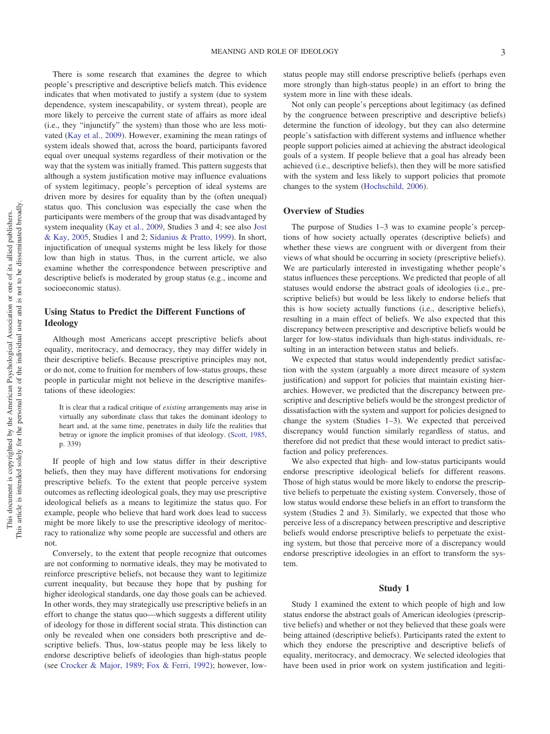MEANING AND ROLE OF IDEOLOGY 3

There is some research that examines the degree to which people's prescriptive and descriptive beliefs match. This evidence indicates that when motivated to justify a system (due to system dependence, system inescapability, or system threat), people are more likely to perceive the current state of affairs as more ideal (i.e., they "injunctify" the system) than those who are less motivated [\(Kay et al., 2009\)](#page-16-21). However, examining the mean ratings of system ideals showed that, across the board, participants favored equal over unequal systems regardless of their motivation or the way that the system was initially framed. This pattern suggests that although a system justification motive may influence evaluations of system legitimacy, people's perception of ideal systems are driven more by desires for equality than by the (often unequal) status quo. This conclusion was especially the case when the participants were members of the group that was disadvantaged by system inequality [\(Kay et al., 2009,](#page-16-21) Studies 3 and 4; see also [Jost](#page-16-24) [& Kay, 2005,](#page-16-24) Studies 1 and 2; [Sidanius & Pratto, 1999\)](#page-17-3). In short, injuctification of unequal systems might be less likely for those low than high in status. Thus, in the current article, we also examine whether the correspondence between prescriptive and descriptive beliefs is moderated by group status (e.g., income and socioeconomic status).

# **Using Status to Predict the Different Functions of Ideology**

Although most Americans accept prescriptive beliefs about equality, meritocracy, and democracy, they may differ widely in their descriptive beliefs. Because prescriptive principles may not, or do not, come to fruition for members of low-status groups, these people in particular might not believe in the descriptive manifestations of these ideologies:

It is clear that a radical critique of *existing* arrangements may arise in virtually any subordinate class that takes the dominant ideology to heart and, at the same time, penetrates in daily life the realities that betray or ignore the implicit promises of that ideology. [\(Scott, 1985,](#page-17-12) p. 339)

If people of high and low status differ in their descriptive beliefs, then they may have different motivations for endorsing prescriptive beliefs. To the extent that people perceive system outcomes as reflecting ideological goals, they may use prescriptive ideological beliefs as a means to legitimize the status quo. For example, people who believe that hard work does lead to success might be more likely to use the prescriptive ideology of meritocracy to rationalize why some people are successful and others are not.

Conversely, to the extent that people recognize that outcomes are not conforming to normative ideals, they may be motivated to reinforce prescriptive beliefs, not because they want to legitimize current inequality, but because they hope that by pushing for higher ideological standards, one day those goals can be achieved. In other words, they may strategically use prescriptive beliefs in an effort to change the status quo—which suggests a different utility of ideology for those in different social strata. This distinction can only be revealed when one considers both prescriptive and descriptive beliefs. Thus, low-status people may be less likely to endorse descriptive beliefs of ideologies than high-status people (see [Crocker & Major, 1989;](#page-16-25) [Fox & Ferri, 1992\)](#page-16-26); however, lowstatus people may still endorse prescriptive beliefs (perhaps even more strongly than high-status people) in an effort to bring the system more in line with these ideals.

Not only can people's perceptions about legitimacy (as defined by the congruence between prescriptive and descriptive beliefs) determine the function of ideology, but they can also determine people's satisfaction with different systems and influence whether people support policies aimed at achieving the abstract ideological goals of a system. If people believe that a goal has already been achieved (i.e., descriptive beliefs), then they will be more satisfied with the system and less likely to support policies that promote changes to the system [\(Hochschild, 2006\)](#page-16-5).

# **Overview of Studies**

The purpose of Studies 1–3 was to examine people's perceptions of how society actually operates (descriptive beliefs) and whether these views are congruent with or divergent from their views of what should be occurring in society (prescriptive beliefs). We are particularly interested in investigating whether people's status influences these perceptions. We predicted that people of all statuses would endorse the abstract goals of ideologies (i.e., prescriptive beliefs) but would be less likely to endorse beliefs that this is how society actually functions (i.e., descriptive beliefs), resulting in a main effect of beliefs. We also expected that this discrepancy between prescriptive and descriptive beliefs would be larger for low-status individuals than high-status individuals, resulting in an interaction between status and beliefs.

We expected that status would independently predict satisfaction with the system (arguably a more direct measure of system justification) and support for policies that maintain existing hierarchies. However, we predicted that the discrepancy between prescriptive and descriptive beliefs would be the strongest predictor of dissatisfaction with the system and support for policies designed to change the system (Studies 1–3). We expected that perceived discrepancy would function similarly regardless of status, and therefore did not predict that these would interact to predict satisfaction and policy preferences.

We also expected that high- and low-status participants would endorse prescriptive ideological beliefs for different reasons. Those of high status would be more likely to endorse the prescriptive beliefs to perpetuate the existing system. Conversely, those of low status would endorse these beliefs in an effort to transform the system (Studies 2 and 3). Similarly, we expected that those who perceive less of a discrepancy between prescriptive and descriptive beliefs would endorse prescriptive beliefs to perpetuate the existing system, but those that perceive more of a discrepancy would endorse prescriptive ideologies in an effort to transform the system.

#### **Study 1**

Study 1 examined the extent to which people of high and low status endorse the abstract goals of American ideologies (prescriptive beliefs) and whether or not they believed that these goals were being attained (descriptive beliefs). Participants rated the extent to which they endorse the prescriptive and descriptive beliefs of equality, meritocracy, and democracy. We selected ideologies that have been used in prior work on system justification and legiti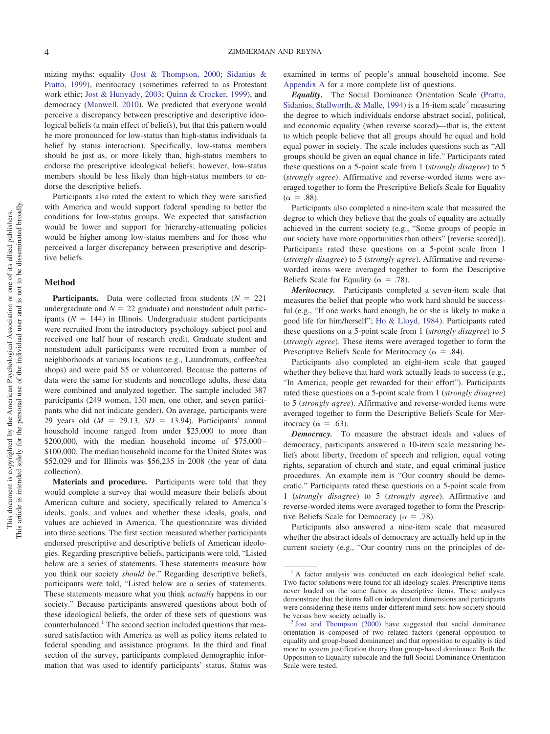mizing myths: equality [\(Jost & Thompson, 2000;](#page-16-12) [Sidanius &](#page-17-3) [Pratto, 1999\)](#page-17-3), meritocracy (sometimes referred to as Protestant work ethic; [Jost & Hunyady, 2003;](#page-16-7) [Quinn & Crocker, 1999\)](#page-17-22), and democracy [\(Manwell, 2010\)](#page-17-23). We predicted that everyone would perceive a discrepancy between prescriptive and descriptive ideological beliefs (a main effect of beliefs), but that this pattern would be more pronounced for low-status than high-status individuals (a belief by status interaction). Specifically, low-status members should be just as, or more likely than, high-status members to endorse the prescriptive ideological beliefs; however, low-status members should be less likely than high-status members to endorse the descriptive beliefs.

Participants also rated the extent to which they were satisfied with America and would support federal spending to better the conditions for low-status groups. We expected that satisfaction would be lower and support for hierarchy-attenuating policies would be higher among low-status members and for those who perceived a larger discrepancy between prescriptive and descriptive beliefs.

## **Method**

**Participants.** Data were collected from students  $(N = 221)$ undergraduate and  $N = 22$  graduate) and nonstudent adult participants  $(N = 144)$  in Illinois. Undergraduate student participants were recruited from the introductory psychology subject pool and received one half hour of research credit. Graduate student and nonstudent adult participants were recruited from a number of neighborhoods at various locations (e.g., Laundromats, coffee/tea shops) and were paid \$5 or volunteered. Because the patterns of data were the same for students and noncollege adults, these data were combined and analyzed together. The sample included 387 participants (249 women, 130 men, one other, and seven participants who did not indicate gender). On average, participants were 29 years old  $(M = 29.13, SD = 13.94)$ . Participants' annual household income ranged from under \$25,000 to more than  $$200,000$ , with the median household income of  $$75,000-$ \$100,000. The median household income for the United States was \$52,029 and for Illinois was \$56,235 in 2008 (the year of data collection).

**Materials and procedure.** Participants were told that they would complete a survey that would measure their beliefs about American culture and society, specifically related to America's ideals, goals, and values and whether these ideals, goals, and values are achieved in America. The questionnaire was divided into three sections. The first section measured whether participants endorsed prescriptive and descriptive beliefs of American ideologies. Regarding prescriptive beliefs, participants were told, "Listed below are a series of statements. These statements measure how you think our society *should be*." Regarding descriptive beliefs, participants were told, "Listed below are a series of statements. These statements measure what you think *actually* happens in our society." Because participants answered questions about both of these ideological beliefs, the order of these sets of questions was counterbalanced.1 The second section included questions that measured satisfaction with America as well as policy items related to federal spending and assistance programs. In the third and final section of the survey, participants completed demographic information that was used to identify participants' status. Status was

examined in terms of people's annual household income. See Appendix A for a more complete list of questions.

*Equality.* The Social Dominance Orientation Scale [\(Pratto,](#page-17-24) [Sidanius, Stallworth, & Malle, 1994\)](#page-17-24) is a 16-item scale<sup>2</sup> measuring the degree to which individuals endorse abstract social, political, and economic equality (when reverse scored)—that is, the extent to which people believe that all groups should be equal and hold equal power in society. The scale includes questions such as "All groups should be given an equal chance in life." Participants rated these questions on a 5-point scale from 1 (*strongly disagree*) to 5 (*strongly agree*). Affirmative and reverse-worded items were averaged together to form the Prescriptive Beliefs Scale for Equality  $(\alpha = .88)$ .

Participants also completed a nine-item scale that measured the degree to which they believe that the goals of equality are actually achieved in the current society (e.g., "Some groups of people in our society have more opportunities than others" [reverse scored]). Participants rated these questions on a 5-point scale from 1 (*strongly disagree*) to 5 (*strongly agree*). Affirmative and reverseworded items were averaged together to form the Descriptive Beliefs Scale for Equality ( $\alpha = .78$ ).

*Meritocracy.* Participants completed a seven-item scale that measures the belief that people who work hard should be successful (e.g., "If one works hard enough, he or she is likely to make a good life for him/herself"; [Ho & Lloyd, 1984\)](#page-16-27). Participants rated these questions on a 5-point scale from 1 (*strongly disagree*) to 5 (*strongly agree*). These items were averaged together to form the Prescriptive Beliefs Scale for Meritocracy ( $\alpha = .84$ ).

Participants also completed an eight-item scale that gauged whether they believe that hard work actually leads to success (e.g., "In America, people get rewarded for their effort"). Participants rated these questions on a 5-point scale from 1 (*strongly disagree*) to 5 (*strongly agree*). Affirmative and reverse-worded items were averaged together to form the Descriptive Beliefs Scale for Meritocracy ( $\alpha = .63$ ).

*Democracy.* To measure the abstract ideals and values of democracy, participants answered a 10-item scale measuring beliefs about liberty, freedom of speech and religion, equal voting rights, separation of church and state, and equal criminal justice procedures. An example item is "Our country should be democratic." Participants rated these questions on a 5-point scale from 1 (*strongly disagree*) to 5 (*strongly agree*). Affirmative and reverse-worded items were averaged together to form the Prescriptive Beliefs Scale for Democracy ( $\alpha = .78$ ).

Participants also answered a nine-item scale that measured whether the abstract ideals of democracy are actually held up in the current society (e.g., "Our country runs on the principles of de-

<sup>&</sup>lt;sup>1</sup> A factor analysis was conducted on each ideological belief scale. Two-factor solutions were found for all ideology scales. Prescriptive items never loaded on the same factor as descriptive items. These analyses demonstrate that the items fall on independent dimensions and participants were considering these items under different mind-sets: how society should be versus how society actually is.<br><sup>2</sup> [Jost and Thompson \(2000\)](#page-16-12) have suggested that social dominance

orientation is composed of two related factors (general opposition to equality and group-based dominance) and that opposition to equality is tied more to system justification theory than group-based dominance. Both the Opposition to Equality subscale and the full Social Dominance Orientation Scale were tested.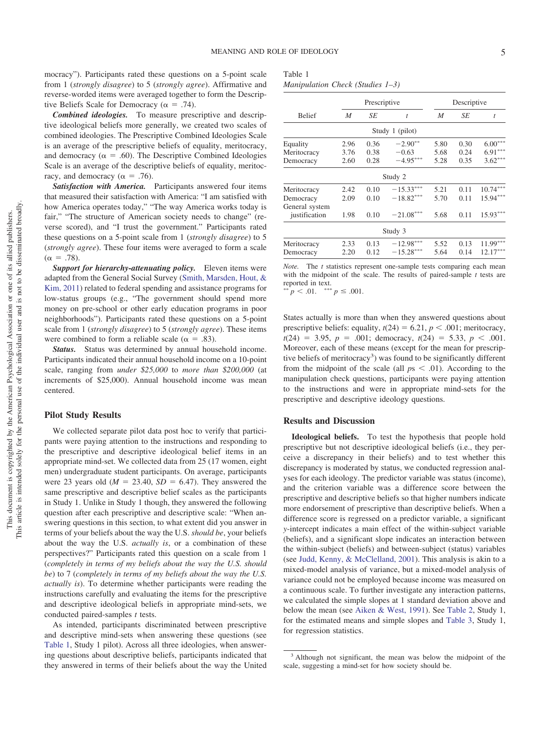mocracy"). Participants rated these questions on a 5-point scale from 1 (*strongly disagree*) to 5 (*strongly agree*). Affirmative and reverse-worded items were averaged together to form the Descriptive Beliefs Scale for Democracy ( $\alpha = .74$ ).

*Combined ideologies.* To measure prescriptive and descriptive ideological beliefs more generally, we created two scales of combined ideologies. The Prescriptive Combined Ideologies Scale is an average of the prescriptive beliefs of equality, meritocracy, and democracy ( $\alpha = .60$ ). The Descriptive Combined Ideologies Scale is an average of the descriptive beliefs of equality, meritocracy, and democracy ( $\alpha = .76$ ).

*Satisfaction with America.* Participants answered four items that measured their satisfaction with America: "I am satisfied with how America operates today," "The way America works today is fair," "The structure of American society needs to change" (reverse scored), and "I trust the government." Participants rated these questions on a 5-point scale from 1 (*strongly disagree*) to 5 (*strongly agree*). These four items were averaged to form a scale  $(\alpha = .78).$ 

*Support for hierarchy-attenuating policy.* Eleven items were adapted from the General Social Survey [\(Smith, Marsden, Hout, &](#page-17-25) [Kim, 2011\)](#page-17-25) related to federal spending and assistance programs for low-status groups (e.g., "The government should spend more money on pre-school or other early education programs in poor neighborhoods"). Participants rated these questions on a 5-point scale from 1 (*strongly disagree*) to 5 (*strongly agree*). These items were combined to form a reliable scale ( $\alpha = .83$ ).

*Status.* Status was determined by annual household income. Participants indicated their annual household income on a 10-point scale, ranging from *under \$25,000* to *more than \$200,000* (at increments of \$25,000). Annual household income was mean centered.

#### **Pilot Study Results**

We collected separate pilot data post hoc to verify that participants were paying attention to the instructions and responding to the prescriptive and descriptive ideological belief items in an appropriate mind-set. We collected data from 25 (17 women, eight men) undergraduate student participants. On average, participants were 23 years old ( $M = 23.40$ ,  $SD = 6.47$ ). They answered the same prescriptive and descriptive belief scales as the participants in Study 1. Unlike in Study 1 though, they answered the following question after each prescriptive and descriptive scale: "When answering questions in this section, to what extent did you answer in terms of your beliefs about the way the U.S. *should be*, your beliefs about the way the U.S. *actually is*, or a combination of these perspectives?" Participants rated this question on a scale from 1 (*completely in terms of my beliefs about the way the U.S. should be*) to 7 (*completely in terms of my beliefs about the way the U.S. actually is*). To determine whether participants were reading the instructions carefully and evaluating the items for the prescriptive and descriptive ideological beliefs in appropriate mind-sets, we conducted paired-samples *t* tests.

As intended, participants discriminated between prescriptive and descriptive mind-sets when answering these questions (see [Table 1,](#page-4-0) Study 1 pilot). Across all three ideologies, when answering questions about descriptive beliefs, participants indicated that they answered in terms of their beliefs about the way the United

#### <span id="page-4-0"></span>Table 1 *Manipulation Check (Studies 1–3)*

|                |      | Prescriptive |                 | Descriptive |      |            |  |  |
|----------------|------|--------------|-----------------|-------------|------|------------|--|--|
| <b>Belief</b>  | M    | SE           | $\dot{t}$       | M           | SE   | t          |  |  |
|                |      |              | Study 1 (pilot) |             |      |            |  |  |
| Equality       | 2.96 | 0.36         | $-2.90**$       | 5.80        | 0.30 | $6.00***$  |  |  |
| Meritocracy    | 3.76 | 0.38         | $-0.63$         | 5.68        | 0.24 | $6.91***$  |  |  |
| Democracy      | 2.60 | 0.28         | $-4.95***$      | 5.28        | 0.35 | $3.62***$  |  |  |
|                |      |              | Study 2         |             |      |            |  |  |
| Meritocracy    | 2.42 | 0.10         | $-15.33***$     | 5.21        | 0.11 | $10.74***$ |  |  |
| Democracy      | 2.09 | 0.10         | $-18.82***$     | 5.70        | 0.11 | 15.94***   |  |  |
| General system |      |              |                 |             |      |            |  |  |
| justification  | 1.98 | 0.10         | $-21.08***$     | 5.68        | 0.11 | $15.93***$ |  |  |
|                |      |              | Study 3         |             |      |            |  |  |
| Meritocracy    | 2.33 | 0.13         | $-12.98***$     | 5.52        | 0.13 | 11.99***   |  |  |
| Democracy      | 2.20 | 0.12         | $-15.28***$     | 5.64        | 0.14 | $12.17***$ |  |  |

*Note.* The *t* statistics represent one-sample tests comparing each mean with the midpoint of the scale. The results of paired-sample *t* tests are reported in text.

 $p < .01.$  \*\*\*  $p \le .001.$ 

States actually is more than when they answered questions about prescriptive beliefs: equality,  $t(24) = 6.21$ ,  $p < .001$ ; meritocracy,  $t(24) = 3.95$ ,  $p = .001$ ; democracy,  $t(24) = 5.33$ ,  $p < .001$ . Moreover, each of these means (except for the mean for prescriptive beliefs of meritocracy<sup>3</sup>) was found to be significantly different from the midpoint of the scale (all  $ps < .01$ ). According to the manipulation check questions, participants were paying attention to the instructions and were in appropriate mind-sets for the prescriptive and descriptive ideology questions.

# **Results and Discussion**

**Ideological beliefs.** To test the hypothesis that people hold prescriptive but not descriptive ideological beliefs (i.e., they perceive a discrepancy in their beliefs) and to test whether this discrepancy is moderated by status, we conducted regression analyses for each ideology. The predictor variable was status (income), and the criterion variable was a difference score between the prescriptive and descriptive beliefs so that higher numbers indicate more endorsement of prescriptive than descriptive beliefs. When a difference score is regressed on a predictor variable, a significant *y*-intercept indicates a main effect of the within-subject variable (beliefs), and a significant slope indicates an interaction between the within-subject (beliefs) and between-subject (status) variables (see [Judd, Kenny, & McClelland, 2001\)](#page-16-28). This analysis is akin to a mixed-model analysis of variance, but a mixed-model analysis of variance could not be employed because income was measured on a continuous scale. To further investigate any interaction patterns, we calculated the simple slopes at 1 standard deviation above and below the mean (see [Aiken & West, 1991\)](#page-16-29). See [Table 2,](#page-5-0) Study 1, for the estimated means and simple slopes and [Table 3,](#page-6-0) Study 1, for regression statistics.

<sup>3</sup> Although not significant, the mean was below the midpoint of the scale, suggesting a mind-set for how society should be.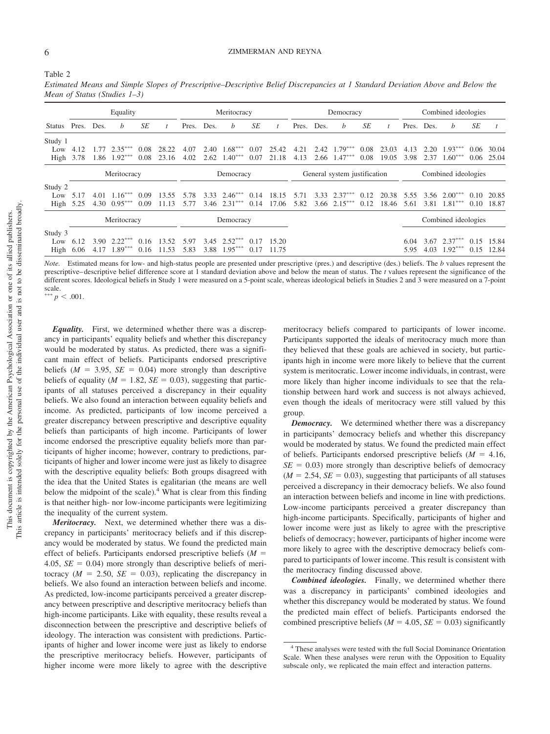<span id="page-5-0"></span>Table 2

*Estimated Means and Simple Slopes of Prescriptive–Descriptive Belief Discrepancies at 1 Standard Deviation Above and Below the Mean of Status (Studies 1–3)*

|         |             |      | Equality    |           |       |       |      | Meritocracy |      |       |       |      | Democracy                    |      |       |      |            | Combined ideologies |      |       |
|---------|-------------|------|-------------|-----------|-------|-------|------|-------------|------|-------|-------|------|------------------------------|------|-------|------|------------|---------------------|------|-------|
| Status  | Pres.       | Des. | b           | <b>SE</b> |       | Pres. | Des. | b           | SE   |       | Pres. | Des. | b                            | SE   |       |      | Pres. Des. | b                   | SE   |       |
| Study 1 |             |      |             |           |       |       |      |             |      |       |       |      |                              |      |       |      |            |                     |      |       |
| Low     | 4.12        |      | $2.35***$   | 0.08      | 28.22 | 4.07  | 2.40 | $1.68***$   | 0.07 | 25.42 | 4.21  | 2.42 | $1.79***$                    | 0.08 | 23.03 | 4.13 | 2.20       | $1.93***$           | 0.06 | 30.04 |
|         | High $3.78$ | 1.86 | $1.92***$   | 0.08      | 23.16 | 4.02  | 2.62 | $1.40***$   | 0.07 | 21.18 | 4.13  | 2.66 | $1.47***$                    | 0.08 | 19.05 | 3.98 | 2.37       | $1.60***$           | 0.06 | 25.04 |
|         |             |      | Meritocracy |           |       |       |      | Democracy   |      |       |       |      | General system justification |      |       |      |            | Combined ideologies |      |       |
| Study 2 |             |      |             |           |       |       |      |             |      |       |       |      |                              |      |       |      |            |                     |      |       |
| Low     | 5.17        | 4.01 | $1.16***$   | 0.09      | 13.55 | 5.78  | 3.33 | $2.46***$   | 0.14 | 18.15 | 5.71  | 3.33 | 2.37                         | 0.12 | 20.38 | 5.55 | 3.56       | $2.00***$           | 0.10 | 20.85 |
| High    | 5.25        | 4.30 | $0.95***$   | 0.09      | 11.13 | 5.77  | 3.46 | $2.31***$   | 0.14 | 17.06 | 5.82  | 3.66 | $2.15***$                    | 0.12 | 18.46 | 5.61 | 3.81       | $1.81***$           | 0.10 | 18.87 |
|         |             |      | Meritocracy |           |       |       |      | Democracy   |      |       |       |      |                              |      |       |      |            | Combined ideologies |      |       |
| Study 3 |             |      |             |           |       |       |      |             |      |       |       |      |                              |      |       |      |            |                     |      |       |
| Low     | 6.12        | 3.90 | $2.22***$   | 0.16      | 13.52 | 5.97  | 3.45 | $2.52***$   | 0.17 | 15.20 |       |      |                              |      |       | 6.04 | 3.67       | $2.37***$           | 0.15 | 15.84 |
| High    | 6.06        | 4.17 | $1.89***$   | 0.16      | 11.53 | 5.83  | 3.88 | $1.95***$   | 0.17 | 11.75 |       |      |                              |      |       | 5.95 | 4.03       | $1.92***$           | 0.15 | 12.84 |

*Note.* Estimated means for low- and high-status people are presented under prescriptive (pres.) and descriptive (des.) beliefs. The *b* values represent the prescriptive– descriptive belief difference score at 1 standard deviation above and below the mean of status. The *t* values represent the significance of the different scores. Ideological beliefs in Study 1 were measured on a 5-point scale, whereas ideological beliefs in Studies 2 and 3 were measured on a 7-point scale.

 $p < .001$ .

*Equality.* First, we determined whether there was a discrepancy in participants' equality beliefs and whether this discrepancy would be moderated by status. As predicted, there was a significant main effect of beliefs. Participants endorsed prescriptive beliefs ( $M = 3.95$ ,  $SE = 0.04$ ) more strongly than descriptive beliefs of equality ( $M = 1.82$ ,  $SE = 0.03$ ), suggesting that participants of all statuses perceived a discrepancy in their equality beliefs. We also found an interaction between equality beliefs and income. As predicted, participants of low income perceived a greater discrepancy between prescriptive and descriptive equality beliefs than participants of high income. Participants of lower income endorsed the prescriptive equality beliefs more than participants of higher income; however, contrary to predictions, participants of higher and lower income were just as likely to disagree with the descriptive equality beliefs: Both groups disagreed with the idea that the United States is egalitarian (the means are well below the midpoint of the scale). $4$  What is clear from this finding is that neither high- nor low-income participants were legitimizing the inequality of the current system.

*Meritocracy.* Next, we determined whether there was a discrepancy in participants' meritocracy beliefs and if this discrepancy would be moderated by status. We found the predicted main effect of beliefs. Participants endorsed prescriptive beliefs (*M* 4.05,  $SE = 0.04$ ) more strongly than descriptive beliefs of meritocracy  $(M = 2.50, SE = 0.03)$ , replicating the discrepancy in beliefs. We also found an interaction between beliefs and income. As predicted, low-income participants perceived a greater discrepancy between prescriptive and descriptive meritocracy beliefs than high-income participants. Like with equality, these results reveal a disconnection between the prescriptive and descriptive beliefs of ideology. The interaction was consistent with predictions. Participants of higher and lower income were just as likely to endorse the prescriptive meritocracy beliefs. However, participants of higher income were more likely to agree with the descriptive

meritocracy beliefs compared to participants of lower income. Participants supported the ideals of meritocracy much more than they believed that these goals are achieved in society, but participants high in income were more likely to believe that the current system is meritocratic. Lower income individuals, in contrast, were more likely than higher income individuals to see that the relationship between hard work and success is not always achieved, even though the ideals of meritocracy were still valued by this group.

*Democracy.* We determined whether there was a discrepancy in participants' democracy beliefs and whether this discrepancy would be moderated by status. We found the predicted main effect of beliefs. Participants endorsed prescriptive beliefs  $(M = 4.16,$  $SE = 0.03$ ) more strongly than descriptive beliefs of democracy  $(M = 2.54, SE = 0.03)$ , suggesting that participants of all statuses perceived a discrepancy in their democracy beliefs. We also found an interaction between beliefs and income in line with predictions. Low-income participants perceived a greater discrepancy than high-income participants. Specifically, participants of higher and lower income were just as likely to agree with the prescriptive beliefs of democracy; however, participants of higher income were more likely to agree with the descriptive democracy beliefs compared to participants of lower income. This result is consistent with the meritocracy finding discussed above.

*Combined ideologies.* Finally, we determined whether there was a discrepancy in participants' combined ideologies and whether this discrepancy would be moderated by status. We found the predicted main effect of beliefs. Participants endorsed the combined prescriptive beliefs ( $M = 4.05$ ,  $SE = 0.03$ ) significantly

<sup>4</sup> These analyses were tested with the full Social Dominance Orientation Scale. When these analyses were rerun with the Opposition to Equality subscale only, we replicated the main effect and interaction patterns.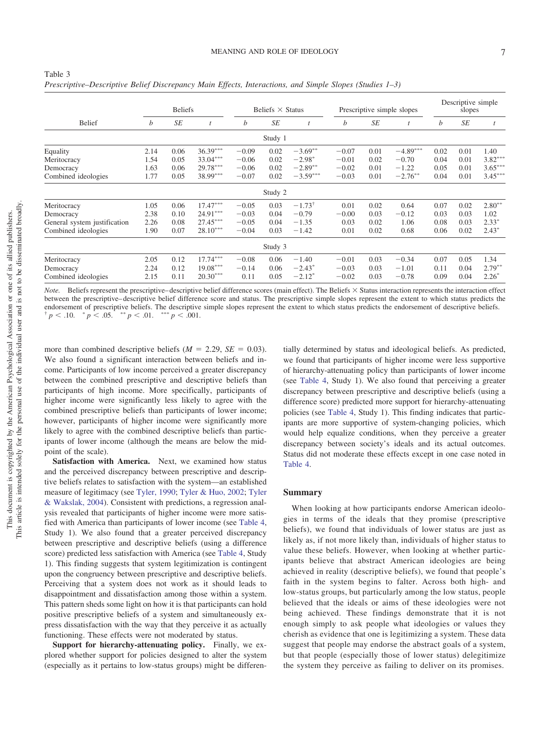|                              | <b>Beliefs</b> |      |            | Beliefs $\times$ Status |           |                   | Prescriptive simple slopes |           |            | Descriptive simple<br>slopes |           |           |
|------------------------------|----------------|------|------------|-------------------------|-----------|-------------------|----------------------------|-----------|------------|------------------------------|-----------|-----------|
| <b>Belief</b>                | b              | SE   |            | b                       | <b>SE</b> |                   | b                          | <b>SE</b> | t          | b                            | <b>SE</b> |           |
|                              |                |      |            |                         | Study 1   |                   |                            |           |            |                              |           |           |
| Equality                     | 2.14           | 0.06 | $36.39***$ | $-0.09$                 | 0.02      | $-3.69**$         | $-0.07$                    | 0.01      | $-4.89***$ | 0.02                         | 0.01      | 1.40      |
| Meritocracy                  | 1.54           | 0.05 | $33.04***$ | $-0.06$                 | 0.02      | $-2.98*$          | $-0.01$                    | 0.02      | $-0.70$    | 0.04                         | 0.01      | $3.82***$ |
| Democracy                    | 1.63           | 0.06 | 29.78***   | $-0.06$                 | 0.02      | $-2.89**$         | $-0.02$                    | 0.01      | $-1.22$    | 0.05                         | 0.01      | $3.65***$ |
| Combined ideologies          | 1.77           | 0.05 | 38.99***   | $-0.07$                 | 0.02      | $-3.59***$        | $-0.03$                    | 0.01      | $-2.76$ ** | 0.04                         | 0.01      | $3.45***$ |
|                              |                |      |            |                         | Study 2   |                   |                            |           |            |                              |           |           |
| Meritocracy                  | 1.05           | 0.06 | $17.47***$ | $-0.05$                 | 0.03      | $-1.73^{\dagger}$ | 0.01                       | 0.02      | 0.64       | 0.07                         | 0.02      | $2.80**$  |
| Democracy                    | 2.38           | 0.10 | $24.91***$ | $-0.03$                 | 0.04      | $-0.79$           | $-0.00$                    | 0.03      | $-0.12$    | 0.03                         | 0.03      | 1.02      |
| General system justification | 2.26           | 0.08 | $27.45***$ | $-0.05$                 | 0.04      | $-1.35$           | 0.03                       | 0.02      | 1.06       | 0.08                         | 0.03      | $2.33*$   |
| Combined ideologies          | 1.90           | 0.07 | $28.10***$ | $-0.04$                 | 0.03      | $-1.42$           | 0.01                       | 0.02      | 0.68       | 0.06                         | 0.02      | $2.43*$   |
|                              |                |      |            |                         | Study 3   |                   |                            |           |            |                              |           |           |
| Meritocracy                  | 2.05           | 0.12 | $17.74***$ | $-0.08$                 | 0.06      | $-1.40$           | $-0.01$                    | 0.03      | $-0.34$    | 0.07                         | 0.05      | 1.34      |
| Democracy                    | 2.24           | 0.12 | $19.08***$ | $-0.14$                 | 0.06      | $-2.43*$          | $-0.03$                    | 0.03      | $-1.01$    | 0.11                         | 0.04      | $2.79***$ |
| Combined ideologies          | 2.15           | 0.11 | $20.30***$ | 0.11                    | 0.05      | $-2.12*$          | $-0.02$                    | 0.03      | $-0.78$    | 0.09                         | 0.04      | $2.26*$   |

<span id="page-6-0"></span>Table 3 *Prescriptive–Descriptive Belief Discrepancy Main Effects, Interactions, and Simple Slopes (Studies 1–3)*

*Note.* Beliefs represent the prescriptive–descriptive belief difference scores (main effect). The Beliefs × Status interaction represents the interaction effect between the prescriptive– descriptive belief difference score and status. The prescriptive simple slopes represent the extent to which status predicts the endorsement of prescriptive beliefs. The descriptive simple slopes represent the extent to which status predicts the endorsement of descriptive beliefs.  $\frac{p}{p}$  < .00.  $\frac{p}{p}$  / .001.  $\frac{p}{p}$  / .001.

more than combined descriptive beliefs  $(M = 2.29, SE = 0.03)$ . We also found a significant interaction between beliefs and income. Participants of low income perceived a greater discrepancy between the combined prescriptive and descriptive beliefs than participants of high income. More specifically, participants of higher income were significantly less likely to agree with the combined prescriptive beliefs than participants of lower income; however, participants of higher income were significantly more likely to agree with the combined descriptive beliefs than participants of lower income (although the means are below the midpoint of the scale).

**Satisfaction with America.** Next, we examined how status and the perceived discrepancy between prescriptive and descriptive beliefs relates to satisfaction with the system—an established measure of legitimacy (see [Tyler, 1990;](#page-18-6) [Tyler & Huo, 2002;](#page-18-7) [Tyler](#page-18-8) [& Wakslak, 2004\)](#page-18-8). Consistent with predictions, a regression analysis revealed that participants of higher income were more satisfied with America than participants of lower income (see [Table 4,](#page-7-0) Study 1). We also found that a greater perceived discrepancy between prescriptive and descriptive beliefs (using a difference score) predicted less satisfaction with America (see [Table 4,](#page-7-0) Study 1). This finding suggests that system legitimization is contingent upon the congruency between prescriptive and descriptive beliefs. Perceiving that a system does not work as it should leads to disappointment and dissatisfaction among those within a system. This pattern sheds some light on how it is that participants can hold positive prescriptive beliefs of a system and simultaneously express dissatisfaction with the way that they perceive it as actually functioning. These effects were not moderated by status.

**Support for hierarchy-attenuating policy.** Finally, we explored whether support for policies designed to alter the system (especially as it pertains to low-status groups) might be differentially determined by status and ideological beliefs. As predicted, we found that participants of higher income were less supportive of hierarchy-attenuating policy than participants of lower income (see [Table 4,](#page-7-0) Study 1). We also found that perceiving a greater discrepancy between prescriptive and descriptive beliefs (using a difference score) predicted more support for hierarchy-attenuating policies (see [Table 4,](#page-7-0) Study 1). This finding indicates that participants are more supportive of system-changing policies, which would help equalize conditions, when they perceive a greater discrepancy between society's ideals and its actual outcomes. Status did not moderate these effects except in one case noted in [Table 4.](#page-7-0)

#### **Summary**

When looking at how participants endorse American ideologies in terms of the ideals that they promise (prescriptive beliefs), we found that individuals of lower status are just as likely as, if not more likely than, individuals of higher status to value these beliefs. However, when looking at whether participants believe that abstract American ideologies are being achieved in reality (descriptive beliefs), we found that people's faith in the system begins to falter. Across both high- and low-status groups, but particularly among the low status, people believed that the ideals or aims of these ideologies were not being achieved. These findings demonstrate that it is not enough simply to ask people what ideologies or values they cherish as evidence that one is legitimizing a system. These data suggest that people may endorse the abstract goals of a system, but that people (especially those of lower status) delegitimize the system they perceive as failing to deliver on its promises.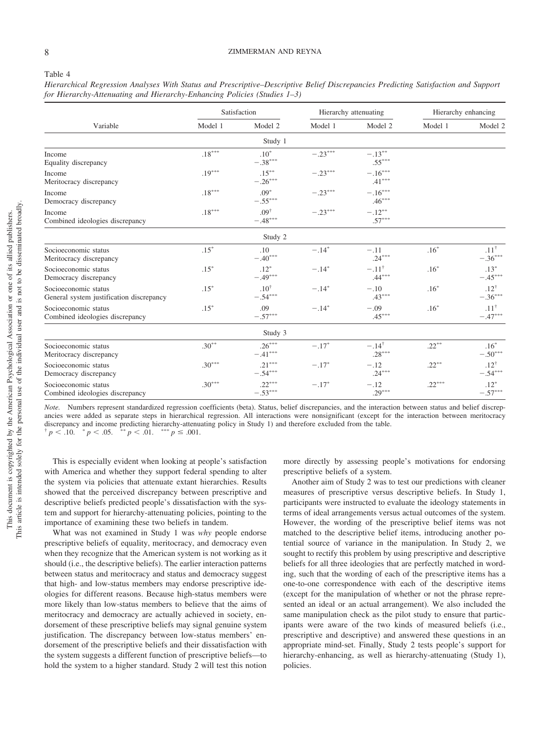# 8 ZIMMERMAN AND REYNA

<span id="page-7-0"></span>

|--|--|

|                                                                  |          | Satisfaction                 |           | Hierarchy attenuating           | Hierarchy enhancing |                              |  |
|------------------------------------------------------------------|----------|------------------------------|-----------|---------------------------------|---------------------|------------------------------|--|
| Variable                                                         | Model 1  | Model 2                      | Model 1   | Model 2                         | Model 1             | Model 2                      |  |
|                                                                  |          | Study 1                      |           |                                 |                     |                              |  |
| Income<br>Equality discrepancy                                   | $.18***$ | $.10*$<br>$-.38***$          | $-.23***$ | $-.13***$<br>$.55***$           |                     |                              |  |
| Income<br>Meritocracy discrepancy                                | $.19***$ | $.15***$<br>$-.26***$        | $-.23***$ | $-.16***$<br>$.41***$           |                     |                              |  |
| Income<br>Democracy discrepancy                                  | $.18***$ | $.09*$<br>$-.55***$          | $-.23***$ | $-.16***$<br>$.46***$           |                     |                              |  |
| Income<br>Combined ideologies discrepancy                        | $.18***$ | $.09^{\dagger}$<br>$-.48***$ | $-.23***$ | $-.12***$<br>$.57***$           |                     |                              |  |
|                                                                  |          | Study 2                      |           |                                 |                     |                              |  |
| Socioeconomic status<br>Meritocracy discrepancy                  | $.15*$   | .10<br>$-.40***$             | $-.14*$   | $-.11$<br>$.24***$              | $.16*$              | $.11^{\dagger}$<br>$-.36***$ |  |
| Socioeconomic status<br>Democracy discrepancy                    | $.15*$   | $.12*$<br>$-.49***$          | $-.14*$   | $-.11^{\dagger}$<br>$.44***$    | $.16*$              | $.13*$<br>$-.45***$          |  |
| Socioeconomic status<br>General system justification discrepancy | $.15*$   | $.10^{\dagger}$<br>$-.54***$ | $-.14*$   | $-.10$<br>$.43***$              | $.16*$              | $.12^{\dagger}$<br>$-.36***$ |  |
| Socioeconomic status<br>Combined ideologies discrepancy          | $.15*$   | .09<br>$-.57***$             | $-.14*$   | $-.09$<br>$.45***$              | $.16*$              | $.11^{\dagger}$<br>$-.47***$ |  |
|                                                                  |          | Study 3                      |           |                                 |                     |                              |  |
| Socioeconomic status<br>Meritocracy discrepancy                  | $.30**$  | $.26***$<br>$-.41***$        | $-.17*$   | $-.14$ <sup>†</sup><br>$.28***$ | $.22***$            | $.16*$<br>$-.50***$          |  |
| Socioeconomic status<br>Democracy discrepancy                    | $.30***$ | $.21***$<br>$-.54***$        | $-.17*$   | $-.12$<br>$.24***$              | $.22***$            | $.12^{\dagger}$<br>$-.54***$ |  |
| Socioeconomic status<br>Combined ideologies discrepancy          | $.30***$ | $.22***$<br>$-.53***$        | $-.17*$   | $-.12$<br>$.29***$              | $.22***$            | $.12*$<br>$-.57***$          |  |

| Hierarchical Regression Analyses With Status and Prescriptive–Descriptive Belief Discrepancies Predicting Satisfaction and Support |  |  |  |  |
|------------------------------------------------------------------------------------------------------------------------------------|--|--|--|--|
| for Hierarchy-Attenuating and Hierarchy-Enhancing Policies (Studies 1–3)                                                           |  |  |  |  |

*Note.* Numbers represent standardized regression coefficients (beta). Status, belief discrepancies, and the interaction between status and belief discrepancies were added as separate steps in hierarchical regression. All interactions were nonsignificant (except for the interaction between meritocracy discrepancy and income predicting hierarchy-attenuating policy in Study 1) and therefore excluded from the table.  $\frac{p}{p}$  < .10.  $\frac{p}{p}$  < .05.  $\frac{p}{p}$  < .01.  $\frac{p}{p}$  ≤ .001.

This is especially evident when looking at people's satisfaction with America and whether they support federal spending to alter the system via policies that attenuate extant hierarchies. Results showed that the perceived discrepancy between prescriptive and descriptive beliefs predicted people's dissatisfaction with the system and support for hierarchy-attenuating policies, pointing to the importance of examining these two beliefs in tandem.

What was not examined in Study 1 was *why* people endorse prescriptive beliefs of equality, meritocracy, and democracy even when they recognize that the American system is not working as it should (i.e., the descriptive beliefs). The earlier interaction patterns between status and meritocracy and status and democracy suggest that high- and low-status members may endorse prescriptive ideologies for different reasons. Because high-status members were more likely than low-status members to believe that the aims of meritocracy and democracy are actually achieved in society, endorsement of these prescriptive beliefs may signal genuine system justification. The discrepancy between low-status members' endorsement of the prescriptive beliefs and their dissatisfaction with the system suggests a different function of prescriptive beliefs—to hold the system to a higher standard. Study 2 will test this notion

more directly by assessing people's motivations for endorsing prescriptive beliefs of a system.

Another aim of Study 2 was to test our predictions with cleaner measures of prescriptive versus descriptive beliefs. In Study 1, participants were instructed to evaluate the ideology statements in terms of ideal arrangements versus actual outcomes of the system. However, the wording of the prescriptive belief items was not matched to the descriptive belief items, introducing another potential source of variance in the manipulation. In Study 2, we sought to rectify this problem by using prescriptive and descriptive beliefs for all three ideologies that are perfectly matched in wording, such that the wording of each of the prescriptive items has a one-to-one correspondence with each of the descriptive items (except for the manipulation of whether or not the phrase represented an ideal or an actual arrangement). We also included the same manipulation check as the pilot study to ensure that participants were aware of the two kinds of measured beliefs (i.e., prescriptive and descriptive) and answered these questions in an appropriate mind-set. Finally, Study 2 tests people's support for hierarchy-enhancing, as well as hierarchy-attenuating (Study 1), policies.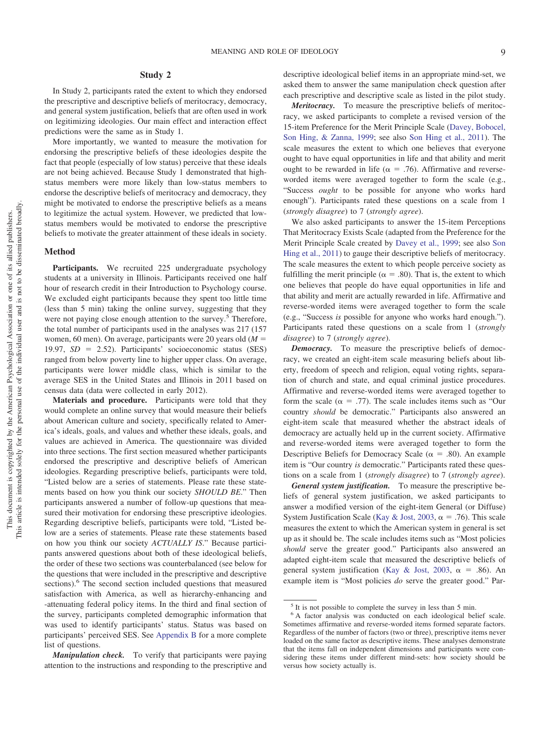# **Study 2**

In Study 2, participants rated the extent to which they endorsed the prescriptive and descriptive beliefs of meritocracy, democracy, and general system justification, beliefs that are often used in work on legitimizing ideologies. Our main effect and interaction effect predictions were the same as in Study 1.

More importantly, we wanted to measure the motivation for endorsing the prescriptive beliefs of these ideologies despite the fact that people (especially of low status) perceive that these ideals are not being achieved. Because Study 1 demonstrated that highstatus members were more likely than low-status members to endorse the descriptive beliefs of meritocracy and democracy, they might be motivated to endorse the prescriptive beliefs as a means to legitimize the actual system. However, we predicted that lowstatus members would be motivated to endorse the prescriptive beliefs to motivate the greater attainment of these ideals in society.

## **Method**

Participants. We recruited 225 undergraduate psychology students at a university in Illinois. Participants received one half hour of research credit in their Introduction to Psychology course. We excluded eight participants because they spent too little time (less than 5 min) taking the online survey, suggesting that they were not paying close enough attention to the survey.<sup>5</sup> Therefore, the total number of participants used in the analyses was 217 (157 women, 60 men). On average, participants were 20 years old (*M* 19.97, *SD* = 2.52). Participants' socioeconomic status (SES) ranged from below poverty line to higher upper class. On average, participants were lower middle class, which is similar to the average SES in the United States and Illinois in 2011 based on census data (data were collected in early 2012).

**Materials and procedure.** Participants were told that they would complete an online survey that would measure their beliefs about American culture and society, specifically related to America's ideals, goals, and values and whether these ideals, goals, and values are achieved in America. The questionnaire was divided into three sections. The first section measured whether participants endorsed the prescriptive and descriptive beliefs of American ideologies. Regarding prescriptive beliefs, participants were told, "Listed below are a series of statements. Please rate these statements based on how you think our society *SHOULD BE*." Then participants answered a number of follow-up questions that measured their motivation for endorsing these prescriptive ideologies. Regarding descriptive beliefs, participants were told, "Listed below are a series of statements. Please rate these statements based on how you think our society *ACTUALLY IS*." Because participants answered questions about both of these ideological beliefs, the order of these two sections was counterbalanced (see below for the questions that were included in the prescriptive and descriptive sections).<sup>6</sup> The second section included questions that measured satisfaction with America, as well as hierarchy-enhancing and -attenuating federal policy items. In the third and final section of the survey, participants completed demographic information that was used to identify participants' status. Status was based on participants' perceived SES. See Appendix B for a more complete list of questions.

*Manipulation check.* To verify that participants were paying attention to the instructions and responding to the prescriptive and descriptive ideological belief items in an appropriate mind-set, we asked them to answer the same manipulation check question after each prescriptive and descriptive scale as listed in the pilot study.

*Meritocracy.* To measure the prescriptive beliefs of meritocracy, we asked participants to complete a revised version of the 15-item Preference for the Merit Principle Scale [\(Davey, Bobocel,](#page-16-30) [Son Hing, & Zanna, 1999;](#page-16-30) see also [Son Hing et al., 2011\)](#page-17-18). The scale measures the extent to which one believes that everyone ought to have equal opportunities in life and that ability and merit ought to be rewarded in life ( $\alpha = .76$ ). Affirmative and reverseworded items were averaged together to form the scale (e.g., "Success *ought* to be possible for anyone who works hard enough"). Participants rated these questions on a scale from 1 (*strongly disagree*) to 7 (*strongly agree*).

We also asked participants to answer the 15-item Perceptions That Meritocracy Exists Scale (adapted from the Preference for the Merit Principle Scale created by [Davey et al., 1999;](#page-16-30) see also [Son](#page-17-18) [Hing et al., 2011\)](#page-17-18) to gauge their descriptive beliefs of meritocracy. The scale measures the extent to which people perceive society as fulfilling the merit principle ( $\alpha = .80$ ). That is, the extent to which one believes that people do have equal opportunities in life and that ability and merit are actually rewarded in life. Affirmative and reverse-worded items were averaged together to form the scale (e.g., "Success *is* possible for anyone who works hard enough."). Participants rated these questions on a scale from 1 (*strongly disagree*) to 7 (*strongly agree*).

*Democracy.* To measure the prescriptive beliefs of democracy, we created an eight-item scale measuring beliefs about liberty, freedom of speech and religion, equal voting rights, separation of church and state, and equal criminal justice procedures. Affirmative and reverse-worded items were averaged together to form the scale ( $\alpha = .77$ ). The scale includes items such as "Our country *should* be democratic." Participants also answered an eight-item scale that measured whether the abstract ideals of democracy are actually held up in the current society. Affirmative and reverse-worded items were averaged together to form the Descriptive Beliefs for Democracy Scale ( $\alpha = .80$ ). An example item is "Our country *is* democratic." Participants rated these questions on a scale from 1 (*strongly disagree*) to 7 (*strongly agree*).

*General system justification.* To measure the prescriptive beliefs of general system justification, we asked participants to answer a modified version of the eight-item General (or Diffuse) System Justification Scale [\(Kay & Jost, 2003,](#page-17-26)  $\alpha = .76$ ). This scale measures the extent to which the American system in general is set up as it should be. The scale includes items such as "Most policies *should* serve the greater good." Participants also answered an adapted eight-item scale that measured the descriptive beliefs of general system justification [\(Kay & Jost, 2003,](#page-17-26)  $\alpha = .86$ ). An example item is "Most policies *do* serve the greater good." Par-

<sup>&</sup>lt;sup>5</sup> It is not possible to complete the survey in less than 5 min.

<sup>&</sup>lt;sup>6</sup> A factor analysis was conducted on each ideological belief scale. Sometimes affirmative and reverse-worded items formed separate factors. Regardless of the number of factors (two or three), prescriptive items never loaded on the same factor as descriptive items. These analyses demonstrate that the items fall on independent dimensions and participants were considering these items under different mind-sets: how society should be versus how society actually is.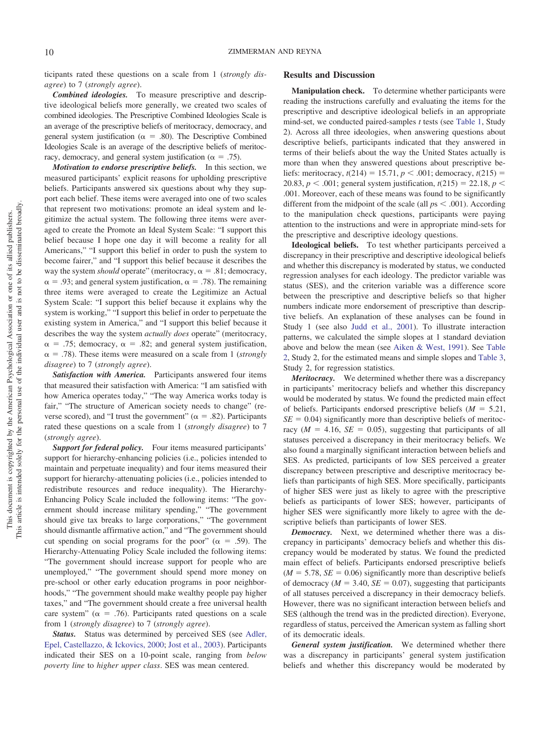ticipants rated these questions on a scale from 1 (*strongly disagree*) to 7 (*strongly agree*).

*Combined ideologies.* To measure prescriptive and descriptive ideological beliefs more generally, we created two scales of combined ideologies. The Prescriptive Combined Ideologies Scale is an average of the prescriptive beliefs of meritocracy, democracy, and general system justification ( $\alpha = .80$ ). The Descriptive Combined Ideologies Scale is an average of the descriptive beliefs of meritocracy, democracy, and general system justification ( $\alpha = .75$ ).

*Motivation to endorse prescriptive beliefs.* In this section, we measured participants' explicit reasons for upholding prescriptive beliefs. Participants answered six questions about why they support each belief. These items were averaged into one of two scales that represent two motivations: promote an ideal system and legitimize the actual system. The following three items were averaged to create the Promote an Ideal System Scale: "I support this belief because I hope one day it will become a reality for all Americans," "I support this belief in order to push the system to become fairer," and "I support this belief because it describes the way the system *should* operate" (meritocracy,  $\alpha = .81$ ; democracy,  $\alpha = .93$ ; and general system justification,  $\alpha = .78$ ). The remaining three items were averaged to create the Legitimize an Actual System Scale: "I support this belief because it explains why the system is working," "I support this belief in order to perpetuate the existing system in America," and "I support this belief because it describes the way the system *actually does* operate" (meritocracy,  $\alpha$  = .75; democracy,  $\alpha$  = .82; and general system justification,  $\alpha$  = .78). These items were measured on a scale from 1 (*strongly disagree*) to 7 (*strongly agree*).

*Satisfaction with America.* Participants answered four items that measured their satisfaction with America: "I am satisfied with how America operates today," "The way America works today is fair," "The structure of American society needs to change" (reverse scored), and "I trust the government" ( $\alpha = .82$ ). Participants rated these questions on a scale from 1 (*strongly disagree*) to 7 (*strongly agree*).

*Support for federal policy.* Four items measured participants' support for hierarchy-enhancing policies (i.e., policies intended to maintain and perpetuate inequality) and four items measured their support for hierarchy-attenuating policies (i.e., policies intended to redistribute resources and reduce inequality). The Hierarchy-Enhancing Policy Scale included the following items: "The government should increase military spending," "The government should give tax breaks to large corporations," "The government should dismantle affirmative action," and "The government should cut spending on social programs for the poor" ( $\alpha = .59$ ). The Hierarchy-Attenuating Policy Scale included the following items: "The government should increase support for people who are unemployed," "The government should spend more money on pre-school or other early education programs in poor neighborhoods," "The government should make wealthy people pay higher taxes," and "The government should create a free universal health care system" ( $\alpha$  = .76). Participants rated questions on a scale from 1 (*strongly disagree*) to 7 (*strongly agree*).

*Status.* Status was determined by perceived SES (see [Adler,](#page-15-0) [Epel, Castellazzo, & Ickovics, 2000;](#page-15-0) [Jost et al., 2003\)](#page-16-9). Participants indicated their SES on a 10-point scale, ranging from *below poverty line* to *higher upper class*. SES was mean centered.

# **Results and Discussion**

**Manipulation check.** To determine whether participants were reading the instructions carefully and evaluating the items for the prescriptive and descriptive ideological beliefs in an appropriate mind-set, we conducted paired-samples *t* tests (see [Table 1,](#page-4-0) Study 2). Across all three ideologies, when answering questions about descriptive beliefs, participants indicated that they answered in terms of their beliefs about the way the United States actually is more than when they answered questions about prescriptive beliefs: meritocracy,  $t(214) = 15.71$ ,  $p < .001$ ; democracy,  $t(215) =$ 20.83,  $p < .001$ ; general system justification,  $t(215) = 22.18$ ,  $p <$ .001. Moreover, each of these means was found to be significantly different from the midpoint of the scale (all  $ps < .001$ ). According to the manipulation check questions, participants were paying attention to the instructions and were in appropriate mind-sets for the prescriptive and descriptive ideology questions.

**Ideological beliefs.** To test whether participants perceived a discrepancy in their prescriptive and descriptive ideological beliefs and whether this discrepancy is moderated by status, we conducted regression analyses for each ideology. The predictor variable was status (SES), and the criterion variable was a difference score between the prescriptive and descriptive beliefs so that higher numbers indicate more endorsement of prescriptive than descriptive beliefs. An explanation of these analyses can be found in Study 1 (see also [Judd et al., 2001\)](#page-16-28). To illustrate interaction patterns, we calculated the simple slopes at 1 standard deviation above and below the mean (see [Aiken & West, 1991\)](#page-16-29). See [Table](#page-5-0) [2,](#page-5-0) Study 2, for the estimated means and simple slopes and [Table 3,](#page-6-0) Study 2, for regression statistics.

*Meritocracy.* We determined whether there was a discrepancy in participants' meritocracy beliefs and whether this discrepancy would be moderated by status. We found the predicted main effect of beliefs. Participants endorsed prescriptive beliefs  $(M = 5.21,$  $SE = 0.04$ ) significantly more than descriptive beliefs of meritocracy  $(M = 4.16, SE = 0.05)$ , suggesting that participants of all statuses perceived a discrepancy in their meritocracy beliefs. We also found a marginally significant interaction between beliefs and SES. As predicted, participants of low SES perceived a greater discrepancy between prescriptive and descriptive meritocracy beliefs than participants of high SES. More specifically, participants of higher SES were just as likely to agree with the prescriptive beliefs as participants of lower SES; however, participants of higher SES were significantly more likely to agree with the descriptive beliefs than participants of lower SES.

*Democracy.* Next, we determined whether there was a discrepancy in participants' democracy beliefs and whether this discrepancy would be moderated by status. We found the predicted main effect of beliefs. Participants endorsed prescriptive beliefs  $(M = 5.78, SE = 0.06)$  significantly more than descriptive beliefs of democracy ( $M = 3.40$ ,  $SE = 0.07$ ), suggesting that participants of all statuses perceived a discrepancy in their democracy beliefs. However, there was no significant interaction between beliefs and SES (although the trend was in the predicted direction). Everyone, regardless of status, perceived the American system as falling short of its democratic ideals.

*General system justification.* We determined whether there was a discrepancy in participants' general system justification beliefs and whether this discrepancy would be moderated by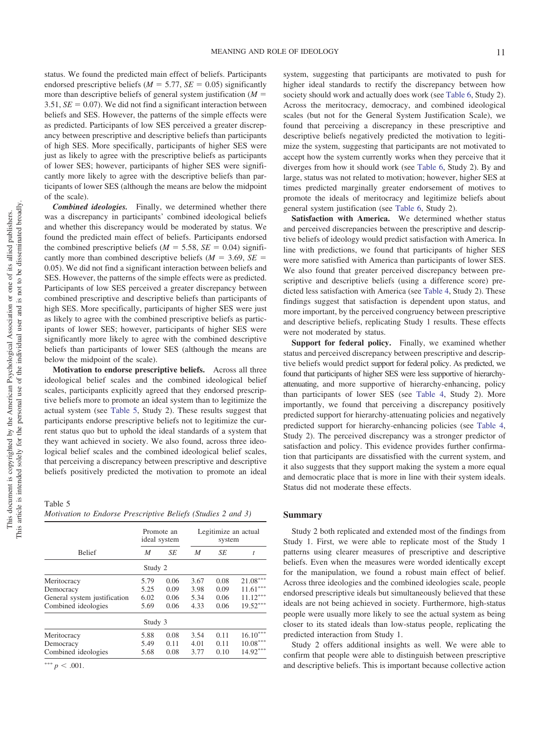status. We found the predicted main effect of beliefs. Participants endorsed prescriptive beliefs ( $M = 5.77$ ,  $SE = 0.05$ ) significantly more than descriptive beliefs of general system justification (*M* 3.51,  $SE = 0.07$ ). We did not find a significant interaction between beliefs and SES. However, the patterns of the simple effects were as predicted. Participants of low SES perceived a greater discrepancy between prescriptive and descriptive beliefs than participants of high SES. More specifically, participants of higher SES were just as likely to agree with the prescriptive beliefs as participants of lower SES; however, participants of higher SES were significantly more likely to agree with the descriptive beliefs than participants of lower SES (although the means are below the midpoint of the scale).

*Combined ideologies.* Finally, we determined whether there was a discrepancy in participants' combined ideological beliefs and whether this discrepancy would be moderated by status. We found the predicted main effect of beliefs. Participants endorsed the combined prescriptive beliefs ( $M = 5.58$ ,  $SE = 0.04$ ) significantly more than combined descriptive beliefs ( $M = 3.69$ ,  $SE =$ 0.05). We did not find a significant interaction between beliefs and SES. However, the patterns of the simple effects were as predicted. Participants of low SES perceived a greater discrepancy between combined prescriptive and descriptive beliefs than participants of high SES. More specifically, participants of higher SES were just as likely to agree with the combined prescriptive beliefs as participants of lower SES; however, participants of higher SES were significantly more likely to agree with the combined descriptive beliefs than participants of lower SES (although the means are below the midpoint of the scale).

**Motivation to endorse prescriptive beliefs.** Across all three ideological belief scales and the combined ideological belief scales, participants explicitly agreed that they endorsed prescriptive beliefs more to promote an ideal system than to legitimize the actual system (see [Table 5,](#page-10-0) Study 2). These results suggest that participants endorse prescriptive beliefs not to legitimize the current status quo but to uphold the ideal standards of a system that they want achieved in society. We also found, across three ideological belief scales and the combined ideological belief scales, that perceiving a discrepancy between prescriptive and descriptive beliefs positively predicted the motivation to promote an ideal

<span id="page-10-0"></span>Table 5 *Motivation to Endorse Prescriptive Beliefs (Studies 2 and 3)*

|                              |         | Promote an<br>ideal system | Legitimize an actual<br>system |      |            |  |  |
|------------------------------|---------|----------------------------|--------------------------------|------|------------|--|--|
| <b>Belief</b>                | M       | SE                         | $\boldsymbol{M}$               | SE   | t          |  |  |
|                              | Study 2 |                            |                                |      |            |  |  |
| Meritocracy                  | 5.79    | 0.06                       | 3.67                           | 0.08 | $21.08***$ |  |  |
| Democracy                    | 5.25    | 0.09                       | 3.98                           | 0.09 | $11.61***$ |  |  |
| General system justification | 6.02    | 0.06                       | 5.34                           | 0.06 | $11.12***$ |  |  |
| Combined ideologies          | 5.69    | 0.06                       | 4.33                           | 0.06 | $19.52***$ |  |  |
|                              | Study 3 |                            |                                |      |            |  |  |
| Meritocracy                  | 5.88    | 0.08                       | 3.54                           | 0.11 | $16.10***$ |  |  |
| Democracy                    | 5.49    | 0.11                       | 4.01                           | 0.11 | $10.08***$ |  |  |
| Combined ideologies          | 5.68    | 0.08                       | 3.77                           | 0.10 | 14.92***   |  |  |

\*\*\*  $p < .001$ .

system, suggesting that participants are motivated to push for higher ideal standards to rectify the discrepancy between how society should work and actually does work (see [Table 6,](#page-11-0) Study 2). Across the meritocracy, democracy, and combined ideological scales (but not for the General System Justification Scale), we found that perceiving a discrepancy in these prescriptive and descriptive beliefs negatively predicted the motivation to legitimize the system, suggesting that participants are not motivated to accept how the system currently works when they perceive that it diverges from how it should work (see [Table 6,](#page-11-0) Study 2). By and large, status was not related to motivation; however, higher SES at times predicted marginally greater endorsement of motives to promote the ideals of meritocracy and legitimize beliefs about general system justification (see [Table 6,](#page-11-0) Study 2).

**Satisfaction with America.** We determined whether status and perceived discrepancies between the prescriptive and descriptive beliefs of ideology would predict satisfaction with America. In line with predictions, we found that participants of higher SES were more satisfied with America than participants of lower SES. We also found that greater perceived discrepancy between prescriptive and descriptive beliefs (using a difference score) predicted less satisfaction with America (see [Table 4,](#page-7-0) Study 2). These findings suggest that satisfaction is dependent upon status, and more important, by the perceived congruency between prescriptive and descriptive beliefs, replicating Study 1 results. These effects were not moderated by status.

**Support for federal policy.** Finally, we examined whether status and perceived discrepancy between prescriptive and descriptive beliefs would predict support for federal policy. As predicted, we found that participants of higher SES were less supportive of hierarchyattenuating, and more supportive of hierarchy-enhancing, policy than participants of lower SES (see [Table 4,](#page-7-0) Study 2). More importantly, we found that perceiving a discrepancy positively predicted support for hierarchy-attenuating policies and negatively predicted support for hierarchy-enhancing policies (see [Table 4,](#page-7-0) Study 2). The perceived discrepancy was a stronger predictor of satisfaction and policy. This evidence provides further confirmation that participants are dissatisfied with the current system, and it also suggests that they support making the system a more equal and democratic place that is more in line with their system ideals. Status did not moderate these effects.

#### **Summary**

Study 2 both replicated and extended most of the findings from Study 1. First, we were able to replicate most of the Study 1 patterns using clearer measures of prescriptive and descriptive beliefs. Even when the measures were worded identically except for the manipulation, we found a robust main effect of belief. Across three ideologies and the combined ideologies scale, people endorsed prescriptive ideals but simultaneously believed that these ideals are not being achieved in society. Furthermore, high-status people were usually more likely to see the actual system as being closer to its stated ideals than low-status people, replicating the predicted interaction from Study 1.

Study 2 offers additional insights as well. We were able to confirm that people were able to distinguish between prescriptive and descriptive beliefs. This is important because collective action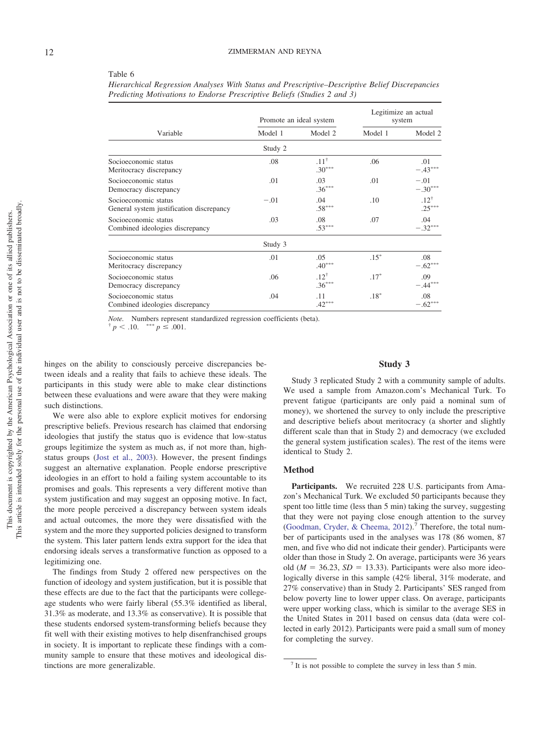This article is intended solely for the personal use of the individual user and is not to be disseminated broadly.

|                                                                  | Promote an ideal system |                             | Legitimize an actual<br>system |                       |  |
|------------------------------------------------------------------|-------------------------|-----------------------------|--------------------------------|-----------------------|--|
| Variable                                                         | Model 1                 | Model 2                     | Model 1                        | Model 2               |  |
|                                                                  | Study 2                 |                             |                                |                       |  |
| Socioeconomic status<br>Meritocracy discrepancy                  | .08                     | $.11^{\dagger}$<br>$.30***$ | .06                            | .01<br>$-.43***$      |  |
| Socioeconomic status<br>Democracy discrepancy                    | .01                     | .03<br>$.36***$             | .01                            | $-.01$<br>$-.30***$   |  |
| Socioeconomic status<br>General system justification discrepancy | $-.01$                  | .04<br>$.58***$             | .10                            | $.12^{+}$<br>$.25***$ |  |
| Socioeconomic status<br>Combined ideologies discrepancy          | .03                     | .08<br>$.53***$             | .07                            | .04<br>$-.32***$      |  |
|                                                                  | Study 3                 |                             |                                |                       |  |
| Socioeconomic status<br>Meritocracy discrepancy                  | .01                     | .05<br>$.40***$             | $.15*$                         | .08<br>$-.62***$      |  |
| Socioeconomic status<br>Democracy discrepancy                    | .06                     | $.12^{+}$<br>$.36***$       | $.17*$                         | .09<br>$-.44***$      |  |
| Socioeconomic status<br>Combined ideologies discrepancy          | .04                     | .11<br>$.42***$             | $.18*$                         | .08<br>$-.62***$      |  |

*Hierarchical Regression Analyses With Status and Prescriptive–Descriptive Belief Discrepancies Predicting Motivations to Endorse Prescriptive Beliefs (Studies 2 and 3)*

*Note.* Numbers represent standardized regression coefficients (beta).  $\frac{p}{p} < .10$ .  $\frac{***}{p} \le .001$ .

<span id="page-11-0"></span>Table 6

hinges on the ability to consciously perceive discrepancies between ideals and a reality that fails to achieve these ideals. The participants in this study were able to make clear distinctions between these evaluations and were aware that they were making such distinctions.

We were also able to explore explicit motives for endorsing prescriptive beliefs. Previous research has claimed that endorsing ideologies that justify the status quo is evidence that low-status groups legitimize the system as much as, if not more than, highstatus groups [\(Jost et al., 2003\)](#page-16-9). However, the present findings suggest an alternative explanation. People endorse prescriptive ideologies in an effort to hold a failing system accountable to its promises and goals. This represents a very different motive than system justification and may suggest an opposing motive. In fact, the more people perceived a discrepancy between system ideals and actual outcomes, the more they were dissatisfied with the system and the more they supported policies designed to transform the system. This later pattern lends extra support for the idea that endorsing ideals serves a transformative function as opposed to a legitimizing one.

The findings from Study 2 offered new perspectives on the function of ideology and system justification, but it is possible that these effects are due to the fact that the participants were collegeage students who were fairly liberal (55.3% identified as liberal, 31.3% as moderate, and 13.3% as conservative). It is possible that these students endorsed system-transforming beliefs because they fit well with their existing motives to help disenfranchised groups in society. It is important to replicate these findings with a community sample to ensure that these motives and ideological distinctions are more generalizable.

# **Study 3**

Study 3 replicated Study 2 with a community sample of adults. We used a sample from Amazon.com's Mechanical Turk. To prevent fatigue (participants are only paid a nominal sum of money), we shortened the survey to only include the prescriptive and descriptive beliefs about meritocracy (a shorter and slightly different scale than that in Study 2) and democracy (we excluded the general system justification scales). The rest of the items were identical to Study 2.

# **Method**

**Participants.** We recruited 228 U.S. participants from Amazon's Mechanical Turk. We excluded 50 participants because they spent too little time (less than 5 min) taking the survey, suggesting that they were not paying close enough attention to the survey [\(Goodman, Cryder, & Cheema, 2012\)](#page-16-31).<sup>7</sup> Therefore, the total number of participants used in the analyses was 178 (86 women, 87 men, and five who did not indicate their gender). Participants were older than those in Study 2. On average, participants were 36 years old ( $M = 36.23$ ,  $SD = 13.33$ ). Participants were also more ideologically diverse in this sample (42% liberal, 31% moderate, and 27% conservative) than in Study 2. Participants' SES ranged from below poverty line to lower upper class. On average, participants were upper working class, which is similar to the average SES in the United States in 2011 based on census data (data were collected in early 2012). Participants were paid a small sum of money for completing the survey.

 $<sup>7</sup>$  It is not possible to complete the survey in less than 5 min.</sup>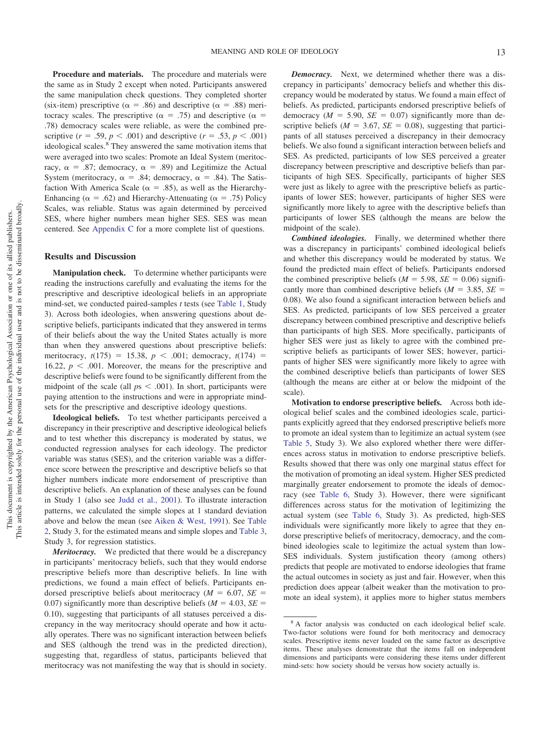**Procedure and materials.** The procedure and materials were the same as in Study 2 except when noted. Participants answered the same manipulation check questions. They completed shorter (six-item) prescriptive ( $\alpha = .86$ ) and descriptive ( $\alpha = .88$ ) meritocracy scales. The prescriptive ( $\alpha = .75$ ) and descriptive ( $\alpha =$ .78) democracy scales were reliable, as were the combined prescriptive ( $r = .59$ ,  $p < .001$ ) and descriptive ( $r = .53$ ,  $p < .001$ ) ideological scales.<sup>8</sup> They answered the same motivation items that were averaged into two scales: Promote an Ideal System (meritocracy,  $\alpha = .87$ ; democracy,  $\alpha = .89$ ) and Legitimize the Actual System (meritocracy,  $\alpha = .84$ ; democracy,  $\alpha = .84$ ). The Satisfaction With America Scale ( $\alpha = .85$ ), as well as the Hierarchy-Enhancing ( $\alpha = .62$ ) and Hierarchy-Attenuating ( $\alpha = .75$ ) Policy Scales, was reliable. Status was again determined by perceived SES, where higher numbers mean higher SES. SES was mean centered. See Appendix C for a more complete list of questions.

# **Results and Discussion**

**Manipulation check.** To determine whether participants were reading the instructions carefully and evaluating the items for the prescriptive and descriptive ideological beliefs in an appropriate mind-set, we conducted paired-samples *t* tests (see [Table 1,](#page-4-0) Study 3). Across both ideologies, when answering questions about descriptive beliefs, participants indicated that they answered in terms of their beliefs about the way the United States actually is more than when they answered questions about prescriptive beliefs: meritocracy,  $t(175) = 15.38, p < .001$ ; democracy,  $t(174) =$ 16.22,  $p < .001$ . Moreover, the means for the prescriptive and descriptive beliefs were found to be significantly different from the midpoint of the scale (all  $ps < .001$ ). In short, participants were paying attention to the instructions and were in appropriate mindsets for the prescriptive and descriptive ideology questions.

**Ideological beliefs.** To test whether participants perceived a discrepancy in their prescriptive and descriptive ideological beliefs and to test whether this discrepancy is moderated by status, we conducted regression analyses for each ideology. The predictor variable was status (SES), and the criterion variable was a difference score between the prescriptive and descriptive beliefs so that higher numbers indicate more endorsement of prescriptive than descriptive beliefs. An explanation of these analyses can be found in Study 1 (also see [Judd et al., 2001\)](#page-16-28). To illustrate interaction patterns, we calculated the simple slopes at 1 standard deviation above and below the mean (see [Aiken & West, 1991\)](#page-16-29). See [Table](#page-5-0) [2,](#page-5-0) Study 3, for the estimated means and simple slopes and [Table 3,](#page-6-0) Study 3, for regression statistics.

*Meritocracy.* We predicted that there would be a discrepancy in participants' meritocracy beliefs, such that they would endorse prescriptive beliefs more than descriptive beliefs. In line with predictions, we found a main effect of beliefs. Participants endorsed prescriptive beliefs about meritocracy ( $M = 6.07$ ,  $SE =$ 0.07) significantly more than descriptive beliefs ( $M = 4.03$ ,  $SE =$ 0.10), suggesting that participants of all statuses perceived a discrepancy in the way meritocracy should operate and how it actually operates. There was no significant interaction between beliefs and SES (although the trend was in the predicted direction), suggesting that, regardless of status, participants believed that meritocracy was not manifesting the way that is should in society.

*Democracy.* Next, we determined whether there was a discrepancy in participants' democracy beliefs and whether this discrepancy would be moderated by status. We found a main effect of beliefs. As predicted, participants endorsed prescriptive beliefs of democracy ( $M = 5.90$ ,  $SE = 0.07$ ) significantly more than descriptive beliefs ( $M = 3.67$ ,  $SE = 0.08$ ), suggesting that participants of all statuses perceived a discrepancy in their democracy beliefs. We also found a significant interaction between beliefs and SES. As predicted, participants of low SES perceived a greater discrepancy between prescriptive and descriptive beliefs than participants of high SES. Specifically, participants of higher SES were just as likely to agree with the prescriptive beliefs as participants of lower SES; however, participants of higher SES were significantly more likely to agree with the descriptive beliefs than participants of lower SES (although the means are below the midpoint of the scale).

*Combined ideologies.* Finally, we determined whether there was a discrepancy in participants' combined ideological beliefs and whether this discrepancy would be moderated by status. We found the predicted main effect of beliefs. Participants endorsed the combined prescriptive beliefs ( $M = 5.98$ ,  $SE = 0.06$ ) significantly more than combined descriptive beliefs ( $M = 3.85$ ,  $SE =$ 0.08). We also found a significant interaction between beliefs and SES. As predicted, participants of low SES perceived a greater discrepancy between combined prescriptive and descriptive beliefs than participants of high SES. More specifically, participants of higher SES were just as likely to agree with the combined prescriptive beliefs as participants of lower SES; however, participants of higher SES were significantly more likely to agree with the combined descriptive beliefs than participants of lower SES (although the means are either at or below the midpoint of the scale).

**Motivation to endorse prescriptive beliefs.** Across both ideological belief scales and the combined ideologies scale, participants explicitly agreed that they endorsed prescriptive beliefs more to promote an ideal system than to legitimize an actual system (see [Table 5,](#page-10-0) Study 3). We also explored whether there were differences across status in motivation to endorse prescriptive beliefs. Results showed that there was only one marginal status effect for the motivation of promoting an ideal system. Higher SES predicted marginally greater endorsement to promote the ideals of democracy (see [Table 6,](#page-11-0) Study 3). However, there were significant differences across status for the motivation of legitimizing the actual system (see [Table 6,](#page-11-0) Study 3). As predicted, high-SES individuals were significantly more likely to agree that they endorse prescriptive beliefs of meritocracy, democracy, and the combined ideologies scale to legitimize the actual system than low-SES individuals. System justification theory (among others) predicts that people are motivated to endorse ideologies that frame the actual outcomes in society as just and fair. However, when this prediction does appear (albeit weaker than the motivation to promote an ideal system), it applies more to higher status members

<sup>8</sup> A factor analysis was conducted on each ideological belief scale. Two-factor solutions were found for both meritocracy and democracy scales. Prescriptive items never loaded on the same factor as descriptive items. These analyses demonstrate that the items fall on independent dimensions and participants were considering these items under different mind-sets: how society should be versus how society actually is.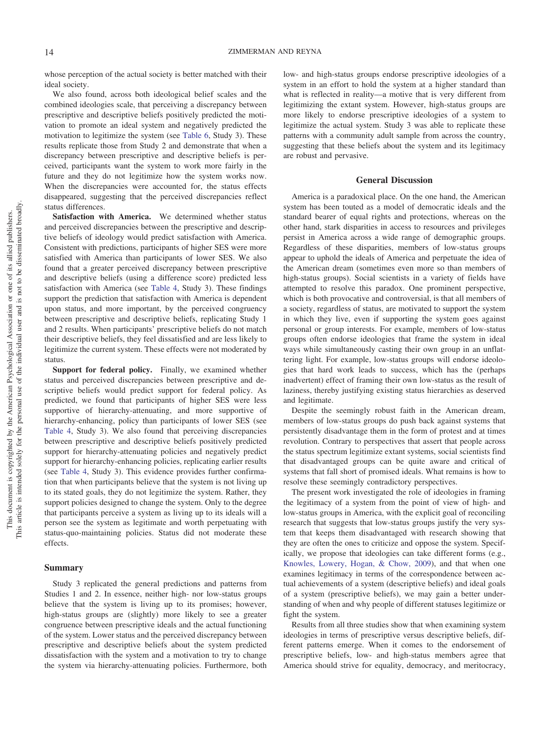whose perception of the actual society is better matched with their ideal society.

We also found, across both ideological belief scales and the combined ideologies scale, that perceiving a discrepancy between prescriptive and descriptive beliefs positively predicted the motivation to promote an ideal system and negatively predicted the motivation to legitimize the system (see [Table 6,](#page-11-0) Study 3). These results replicate those from Study 2 and demonstrate that when a discrepancy between prescriptive and descriptive beliefs is perceived, participants want the system to work more fairly in the future and they do not legitimize how the system works now. When the discrepancies were accounted for, the status effects disappeared, suggesting that the perceived discrepancies reflect status differences.

**Satisfaction with America.** We determined whether status and perceived discrepancies between the prescriptive and descriptive beliefs of ideology would predict satisfaction with America. Consistent with predictions, participants of higher SES were more satisfied with America than participants of lower SES. We also found that a greater perceived discrepancy between prescriptive and descriptive beliefs (using a difference score) predicted less satisfaction with America (see [Table 4,](#page-7-0) Study 3). These findings support the prediction that satisfaction with America is dependent upon status, and more important, by the perceived congruency between prescriptive and descriptive beliefs, replicating Study 1 and 2 results. When participants' prescriptive beliefs do not match their descriptive beliefs, they feel dissatisfied and are less likely to legitimize the current system. These effects were not moderated by status.

**Support for federal policy.** Finally, we examined whether status and perceived discrepancies between prescriptive and descriptive beliefs would predict support for federal policy. As predicted, we found that participants of higher SES were less supportive of hierarchy-attenuating, and more supportive of hierarchy-enhancing, policy than participants of lower SES (see [Table 4,](#page-7-0) Study 3). We also found that perceiving discrepancies between prescriptive and descriptive beliefs positively predicted support for hierarchy-attenuating policies and negatively predict support for hierarchy-enhancing policies, replicating earlier results (see [Table 4,](#page-7-0) Study 3). This evidence provides further confirmation that when participants believe that the system is not living up to its stated goals, they do not legitimize the system. Rather, they support policies designed to change the system. Only to the degree that participants perceive a system as living up to its ideals will a person see the system as legitimate and worth perpetuating with status-quo-maintaining policies. Status did not moderate these effects.

# **Summary**

Study 3 replicated the general predictions and patterns from Studies 1 and 2. In essence, neither high- nor low-status groups believe that the system is living up to its promises; however, high-status groups are (slightly) more likely to see a greater congruence between prescriptive ideals and the actual functioning of the system. Lower status and the perceived discrepancy between prescriptive and descriptive beliefs about the system predicted dissatisfaction with the system and a motivation to try to change the system via hierarchy-attenuating policies. Furthermore, both

low- and high-status groups endorse prescriptive ideologies of a system in an effort to hold the system at a higher standard than what is reflected in reality—a motive that is very different from legitimizing the extant system. However, high-status groups are more likely to endorse prescriptive ideologies of a system to legitimize the actual system. Study 3 was able to replicate these patterns with a community adult sample from across the country, suggesting that these beliefs about the system and its legitimacy are robust and pervasive.

## **General Discussion**

America is a paradoxical place. On the one hand, the American system has been touted as a model of democratic ideals and the standard bearer of equal rights and protections, whereas on the other hand, stark disparities in access to resources and privileges persist in America across a wide range of demographic groups. Regardless of these disparities, members of low-status groups appear to uphold the ideals of America and perpetuate the idea of the American dream (sometimes even more so than members of high-status groups). Social scientists in a variety of fields have attempted to resolve this paradox. One prominent perspective, which is both provocative and controversial, is that all members of a society, regardless of status, are motivated to support the system in which they live, even if supporting the system goes against personal or group interests. For example, members of low-status groups often endorse ideologies that frame the system in ideal ways while simultaneously casting their own group in an unflattering light. For example, low-status groups will endorse ideologies that hard work leads to success, which has the (perhaps inadvertent) effect of framing their own low-status as the result of laziness, thereby justifying existing status hierarchies as deserved and legitimate.

Despite the seemingly robust faith in the American dream, members of low-status groups do push back against systems that persistently disadvantage them in the form of protest and at times revolution. Contrary to perspectives that assert that people across the status spectrum legitimize extant systems, social scientists find that disadvantaged groups can be quite aware and critical of systems that fall short of promised ideals. What remains is how to resolve these seemingly contradictory perspectives.

The present work investigated the role of ideologies in framing the legitimacy of a system from the point of view of high- and low-status groups in America, with the explicit goal of reconciling research that suggests that low-status groups justify the very system that keeps them disadvantaged with research showing that they are often the ones to criticize and oppose the system. Specifically, we propose that ideologies can take different forms (e.g., [Knowles, Lowery, Hogan, & Chow, 2009\)](#page-17-27), and that when one examines legitimacy in terms of the correspondence between actual achievements of a system (descriptive beliefs) and ideal goals of a system (prescriptive beliefs), we may gain a better understanding of when and why people of different statuses legitimize or fight the system.

Results from all three studies show that when examining system ideologies in terms of prescriptive versus descriptive beliefs, different patterns emerge. When it comes to the endorsement of prescriptive beliefs, low- and high-status members agree that America should strive for equality, democracy, and meritocracy,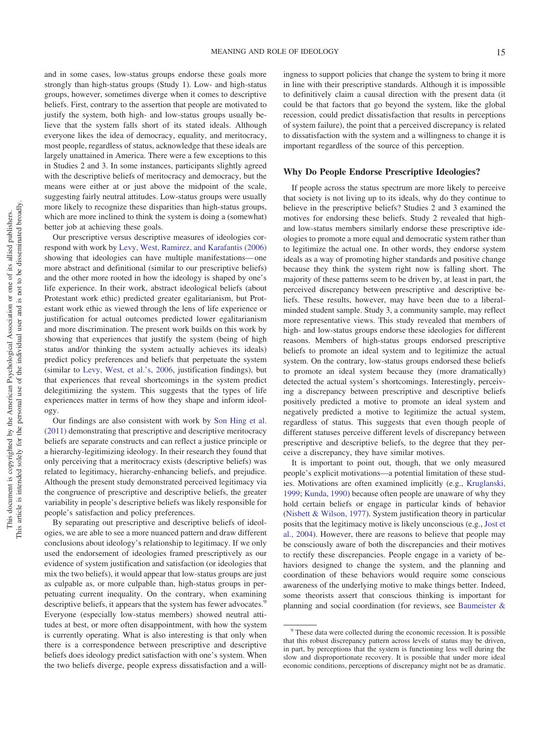and in some cases, low-status groups endorse these goals more strongly than high-status groups (Study 1). Low- and high-status groups, however, sometimes diverge when it comes to descriptive beliefs. First, contrary to the assertion that people are motivated to justify the system, both high- and low-status groups usually believe that the system falls short of its stated ideals. Although everyone likes the idea of democracy, equality, and meritocracy, most people, regardless of status, acknowledge that these ideals are largely unattained in America. There were a few exceptions to this in Studies 2 and 3. In some instances, participants slightly agreed with the descriptive beliefs of meritocracy and democracy, but the means were either at or just above the midpoint of the scale, suggesting fairly neutral attitudes. Low-status groups were usually more likely to recognize these disparities than high-status groups, which are more inclined to think the system is doing a (somewhat) better job at achieving these goals.

Our prescriptive versus descriptive measures of ideologies correspond with work by [Levy, West, Ramirez, and Karafantis \(2006\)](#page-17-28) showing that ideologies can have multiple manifestations— one more abstract and definitional (similar to our prescriptive beliefs) and the other more rooted in how the ideology is shaped by one's life experience. In their work, abstract ideological beliefs (about Protestant work ethic) predicted greater egalitarianism, but Protestant work ethic as viewed through the lens of life experience or justification for actual outcomes predicted lower egalitarianism and more discrimination. The present work builds on this work by showing that experiences that justify the system (being of high status and/or thinking the system actually achieves its ideals) predict policy preferences and beliefs that perpetuate the system (similar to [Levy, West, et al.'s, 2006,](#page-17-28) justification findings), but that experiences that reveal shortcomings in the system predict delegitimizing the system. This suggests that the types of life experiences matter in terms of how they shape and inform ideology.

Our findings are also consistent with work by [Son Hing et al.](#page-17-18) [\(2011\)](#page-17-18) demonstrating that prescriptive and descriptive meritocracy beliefs are separate constructs and can reflect a justice principle or a hierarchy-legitimizing ideology. In their research they found that only perceiving that a meritocracy exists (descriptive beliefs) was related to legitimacy, hierarchy-enhancing beliefs, and prejudice. Although the present study demonstrated perceived legitimacy via the congruence of prescriptive and descriptive beliefs, the greater variability in people's descriptive beliefs was likely responsible for people's satisfaction and policy preferences.

By separating out prescriptive and descriptive beliefs of ideologies, we are able to see a more nuanced pattern and draw different conclusions about ideology's relationship to legitimacy. If we only used the endorsement of ideologies framed prescriptively as our evidence of system justification and satisfaction (or ideologies that mix the two beliefs), it would appear that low-status groups are just as culpable as, or more culpable than, high-status groups in perpetuating current inequality. On the contrary, when examining descriptive beliefs, it appears that the system has fewer advocates.<sup>9</sup> Everyone (especially low-status members) showed neutral attitudes at best, or more often disappointment, with how the system is currently operating. What is also interesting is that only when there is a correspondence between prescriptive and descriptive beliefs does ideology predict satisfaction with one's system. When the two beliefs diverge, people express dissatisfaction and a willingness to support policies that change the system to bring it more in line with their prescriptive standards. Although it is impossible to definitively claim a causal direction with the present data (it could be that factors that go beyond the system, like the global recession, could predict dissatisfaction that results in perceptions of system failure), the point that a perceived discrepancy is related to dissatisfaction with the system and a willingness to change it is important regardless of the source of this perception.

# **Why Do People Endorse Prescriptive Ideologies?**

If people across the status spectrum are more likely to perceive that society is not living up to its ideals, why do they continue to believe in the prescriptive beliefs? Studies 2 and 3 examined the motives for endorsing these beliefs. Study 2 revealed that highand low-status members similarly endorse these prescriptive ideologies to promote a more equal and democratic system rather than to legitimize the actual one. In other words, they endorse system ideals as a way of promoting higher standards and positive change because they think the system right now is falling short. The majority of these patterns seem to be driven by, at least in part, the perceived discrepancy between prescriptive and descriptive beliefs. These results, however, may have been due to a liberalminded student sample. Study 3, a community sample, may reflect more representative views. This study revealed that members of high- and low-status groups endorse these ideologies for different reasons. Members of high-status groups endorsed prescriptive beliefs to promote an ideal system and to legitimize the actual system. On the contrary, low-status groups endorsed these beliefs to promote an ideal system because they (more dramatically) detected the actual system's shortcomings. Interestingly, perceiving a discrepancy between prescriptive and descriptive beliefs positively predicted a motive to promote an ideal system and negatively predicted a motive to legitimize the actual system, regardless of status. This suggests that even though people of different statuses perceive different levels of discrepancy between prescriptive and descriptive beliefs, to the degree that they perceive a discrepancy, they have similar motives.

It is important to point out, though, that we only measured people's explicit motivations—a potential limitation of these studies. Motivations are often examined implicitly (e.g., [Kruglanski,](#page-17-29) [1999;](#page-17-29) [Kunda, 1990\)](#page-17-30) because often people are unaware of why they hold certain beliefs or engage in particular kinds of behavior [\(Nisbett & Wilson, 1977\)](#page-17-31). System justification theory in particular posits that the legitimacy motive is likely unconscious (e.g., [Jost et](#page-16-11) [al., 2004\)](#page-16-11). However, there are reasons to believe that people may be consciously aware of both the discrepancies and their motives to rectify these discrepancies. People engage in a variety of behaviors designed to change the system, and the planning and coordination of these behaviors would require some conscious awareness of the underlying motive to make things better. Indeed, some theorists assert that conscious thinking is important for planning and social coordination (for reviews, see [Baumeister &](#page-16-32)

<sup>&</sup>lt;sup>9</sup> These data were collected during the economic recession. It is possible that this robust discrepancy pattern across levels of status may be driven, in part, by perceptions that the system is functioning less well during the slow and disproportionate recovery. It is possible that under more ideal economic conditions, perceptions of discrepancy might not be as dramatic.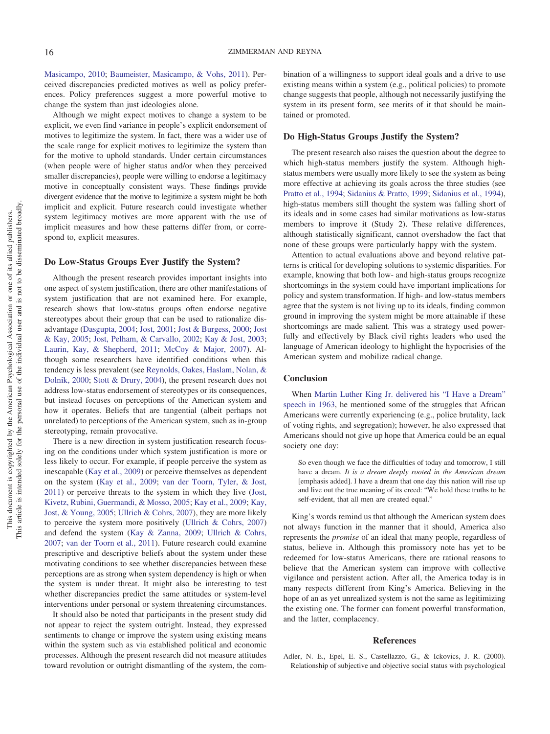[Masicampo, 2010;](#page-16-32) [Baumeister, Masicampo, & Vohs, 2011\)](#page-16-33). Perceived discrepancies predicted motives as well as policy preferences. Policy preferences suggest a more powerful motive to change the system than just ideologies alone.

Although we might expect motives to change a system to be explicit, we even find variance in people's explicit endorsement of motives to legitimize the system. In fact, there was a wider use of the scale range for explicit motives to legitimize the system than for the motive to uphold standards. Under certain circumstances (when people were of higher status and/or when they perceived smaller discrepancies), people were willing to endorse a legitimacy motive in conceptually consistent ways. These findings provide divergent evidence that the motive to legitimize a system might be both implicit and explicit. Future research could investigate whether system legitimacy motives are more apparent with the use of implicit measures and how these patterns differ from, or correspond to, explicit measures.

# **Do Low-Status Groups Ever Justify the System?**

Although the present research provides important insights into one aspect of system justification, there are other manifestations of system justification that are not examined here. For example, research shows that low-status groups often endorse negative stereotypes about their group that can be used to rationalize disadvantage [\(Dasgupta, 2004;](#page-16-34) [Jost, 2001;](#page-16-35) [Jost & Burgess, 2000;](#page-16-36) [Jost](#page-16-24) [& Kay, 2005;](#page-16-24) [Jost, Pelham, & Carvallo, 2002;](#page-16-37) [Kay & Jost, 2003;](#page-17-26) [Laurin, Kay, & Shepherd, 2011;](#page-17-32) [McCoy & Major, 2007\)](#page-17-5). Although some researchers have identified conditions when this tendency is less prevalent (see [Reynolds, Oakes, Haslam, Nolan, &](#page-17-33) [Dolnik, 2000;](#page-17-33) [Stott & Drury, 2004\)](#page-18-9), the present research does not address low-status endorsement of stereotypes or its consequences, but instead focuses on perceptions of the American system and how it operates. Beliefs that are tangential (albeit perhaps not unrelated) to perceptions of the American system, such as in-group stereotyping, remain provocative.

There is a new direction in system justification research focusing on the conditions under which system justification is more or less likely to occur. For example, if people perceive the system as inescapable [\(Kay et al., 2009\)](#page-16-21) or perceive themselves as dependent on the system [\(Kay et al., 2009;](#page-16-21) [van der Toorn, Tyler, & Jost,](#page-18-10) [2011\)](#page-18-10) or perceive threats to the system in which they live [\(Jost,](#page-16-38) [Kivetz, Rubini, Guermandi, & Mosso, 2005;](#page-16-38) [Kay et al., 2009;](#page-16-21) [Kay,](#page-17-34) [Jost, & Young, 2005;](#page-17-34) [Ullrich & Cohrs, 2007\)](#page-18-11), they are more likely to perceive the system more positively [\(Ullrich & Cohrs, 2007\)](#page-18-11) and defend the system [\(Kay & Zanna, 2009;](#page-17-35) [Ullrich & Cohrs,](#page-18-11) [2007;](#page-18-11) [van der Toorn et al., 2011\)](#page-18-10). Future research could examine prescriptive and descriptive beliefs about the system under these motivating conditions to see whether discrepancies between these perceptions are as strong when system dependency is high or when the system is under threat. It might also be interesting to test whether discrepancies predict the same attitudes or system-level interventions under personal or system threatening circumstances.

It should also be noted that participants in the present study did not appear to reject the system outright. Instead, they expressed sentiments to change or improve the system using existing means within the system such as via established political and economic processes. Although the present research did not measure attitudes toward revolution or outright dismantling of the system, the combination of a willingness to support ideal goals and a drive to use existing means within a system (e.g., political policies) to promote change suggests that people, although not necessarily justifying the system in its present form, see merits of it that should be maintained or promoted.

# **Do High-Status Groups Justify the System?**

The present research also raises the question about the degree to which high-status members justify the system. Although highstatus members were usually more likely to see the system as being more effective at achieving its goals across the three studies (see [Pratto et al., 1994;](#page-17-24) [Sidanius & Pratto, 1999;](#page-17-3) [Sidanius et al., 1994\)](#page-17-6), high-status members still thought the system was falling short of its ideals and in some cases had similar motivations as low-status members to improve it (Study 2). These relative differences, although statistically significant, cannot overshadow the fact that none of these groups were particularly happy with the system.

Attention to actual evaluations above and beyond relative patterns is critical for developing solutions to systemic disparities. For example, knowing that both low- and high-status groups recognize shortcomings in the system could have important implications for policy and system transformation. If high- and low-status members agree that the system is not living up to its ideals, finding common ground in improving the system might be more attainable if these shortcomings are made salient. This was a strategy used powerfully and effectively by Black civil rights leaders who used the language of American ideology to highlight the hypocrisies of the American system and mobilize radical change.

# **Conclusion**

When [Martin Luther King Jr. delivered his "I Have a Dream"](#page-17-36) [speech in 1963,](#page-17-36) he mentioned some of the struggles that African Americans were currently experiencing (e.g., police brutality, lack of voting rights, and segregation); however, he also expressed that Americans should not give up hope that America could be an equal society one day:

So even though we face the difficulties of today and tomorrow, I still have a dream. *It is a dream deeply rooted in the American dream* [emphasis added]. I have a dream that one day this nation will rise up and live out the true meaning of its creed: "We hold these truths to be self-evident, that all men are created equal."

King's words remind us that although the American system does not always function in the manner that it should, America also represents the *promise* of an ideal that many people, regardless of status, believe in. Although this promissory note has yet to be redeemed for low-status Americans, there are rational reasons to believe that the American system can improve with collective vigilance and persistent action. After all, the America today is in many respects different from King's America. Believing in the hope of an as yet unrealized system is not the same as legitimizing the existing one. The former can foment powerful transformation, and the latter, complacency.

# **References**

<span id="page-15-0"></span>Adler, N. E., Epel, E. S., Castellazzo, G., & Ickovics, J. R. (2000). Relationship of subjective and objective social status with psychological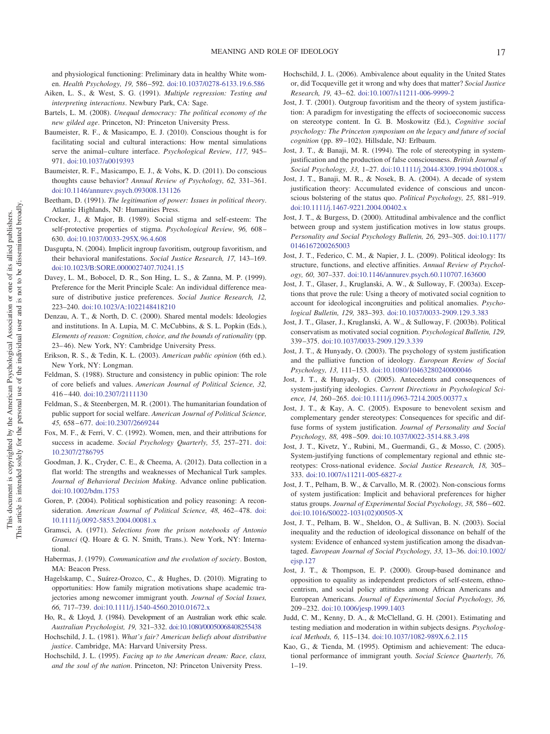<span id="page-16-21"></span>and physiological functioning: Preliminary data in healthy White women. *Health Psychology, 19,* 586 –592. [doi:10.1037/0278-6133.19.6.586](http://dx.doi.org/10.1037/0278-6133.19.6.586)

- <span id="page-16-29"></span>Aiken, L. S., & West, S. G. (1991). *Multiple regression: Testing and interpreting interactions*. Newbury Park, CA: Sage.
- <span id="page-16-2"></span>Bartels, L. M. (2008). *Unequal democracy: The political economy of the new gilded age*. Princeton, NJ: Princeton University Press.
- <span id="page-16-32"></span>Baumeister, R. F., & Masicampo, E. J. (2010). Conscious thought is for facilitating social and cultural interactions: How mental simulations serve the animal– culture interface. *Psychological Review, 117,* 945– 971. [doi:10.1037/a0019393](http://dx.doi.org/10.1037/a0019393)
- <span id="page-16-33"></span>Baumeister, R. F., Masicampo, E. J., & Vohs, K. D. (2011). Do conscious thoughts cause behavior? *Annual Review of Psychology, 62,* 331–361. [doi:10.1146/annurev.psych.093008.131126](http://dx.doi.org/10.1146/annurev.psych.093008.131126)
- <span id="page-16-22"></span>Beetham, D. (1991). *The legitimation of power: Issues in political theory*. Atlantic Highlands, NJ: Humanities Press.
- <span id="page-16-25"></span>Crocker, J., & Major, B. (1989). Social stigma and self-esteem: The self-protective properties of stigma. *Psychological Review, 96,* 608 – 630. [doi:10.1037/0033-295X.96.4.608](http://dx.doi.org/10.1037/0033-295X.96.4.608)
- <span id="page-16-34"></span>Dasgupta, N. (2004). Implicit ingroup favoritism, outgroup favoritism, and their behavioral manifestations. *Social Justice Research, 17,* 143–169. [doi:10.1023/B:SORE.0000027407.70241.15](http://dx.doi.org/10.1023/B:SORE.0000027407.70241.15)
- <span id="page-16-30"></span>Davey, L. M., Bobocel, D. R., Son Hing, L. S., & Zanna, M. P. (1999). Preference for the Merit Principle Scale: An individual difference measure of distributive justice preferences. *Social Justice Research, 12,* 223–240. [doi:10.1023/A:1022148418210](http://dx.doi.org/10.1023/A:1022148418210)
- <span id="page-16-14"></span>Denzau, A. T., & North, D. C. (2000). Shared mental models: Ideologies and institutions. In A. Lupia, M. C. McCubbins, & S. L. Popkin (Eds.), *Elements of reason: Cognition, choice, and the bounds of rationality* (pp. 23– 46). New York, NY: Cambridge University Press.
- <span id="page-16-15"></span>Erikson, R. S., & Tedin, K. L. (2003). *American public opinion* (6th ed.). New York, NY: Longman.
- <span id="page-16-16"></span>Feldman, S. (1988). Structure and consistency in public opinion: The role of core beliefs and values. *American Journal of Political Science, 32,* 416 – 440. [doi:10.2307/2111130](http://dx.doi.org/10.2307/2111130)
- <span id="page-16-17"></span>Feldman, S., & Steenbergen, M. R. (2001). The humanitarian foundation of public support for social welfare. *American Journal of Political Science, 45,* 658 – 677. [doi:10.2307/2669244](http://dx.doi.org/10.2307/2669244)
- <span id="page-16-26"></span>Fox, M. F., & Ferri, V. C. (1992). Women, men, and their attributions for success in academe. *Social Psychology Quarterly, 55,* 257–271. [doi:](http://dx.doi.org/10.2307/2786795) [10.2307/2786795](http://dx.doi.org/10.2307/2786795)
- <span id="page-16-31"></span>Goodman, J. K., Cryder, C. E., & Cheema, A. (2012). Data collection in a flat world: The strengths and weaknesses of Mechanical Turk samples. *Journal of Behavioral Decision Making*. Advance online publication. [doi:10.1002/bdm.1753](http://dx.doi.org/10.1002/bdm.1753)
- <span id="page-16-18"></span>Goren, P. (2004). Political sophistication and policy reasoning: A reconsideration. American Journal of Political Science, 48, 462-478. [doi:](http://dx.doi.org/10.1111/j.0092-5853.2004.00081.x) [10.1111/j.0092-5853.2004.00081.x](http://dx.doi.org/10.1111/j.0092-5853.2004.00081.x)
- <span id="page-16-10"></span>Gramsci, A. (1971). *Selections from the prison notebooks of Antonio Gramsci* (Q. Hoare & G. N. Smith, Trans.). New York, NY: International.
- <span id="page-16-23"></span>Habermas, J. (1979). *Communication and the evolution of society*. Boston, MA: Beacon Press.
- <span id="page-16-0"></span>Hagelskamp, C., Suárez-Orozco, C., & Hughes, D. (2010). Migrating to opportunities: How family migration motivations shape academic trajectories among newcomer immigrant youth. *Journal of Social Issues, 66,* 717–739. [doi:10.1111/j.1540-4560.2010.01672.x](http://dx.doi.org/10.1111/j.1540-4560.2010.01672.x)
- <span id="page-16-27"></span>Ho, R., & Lloyd, J. (1984). Development of an Australian work ethic scale. *Australian Psychologist, 19,* 321–332. [doi:10.1080/00050068408255438](http://dx.doi.org/10.1080/00050068408255438)
- <span id="page-16-3"></span>Hochschild, J. L. (1981). *What's fair? American beliefs about distributive justice*. Cambridge, MA: Harvard University Press.
- <span id="page-16-4"></span>Hochschild, J. L. (1995). *Facing up to the American dream: Race, class, and the soul of the nation*. Princeton, NJ: Princeton University Press.
- <span id="page-16-5"></span>Hochschild, J. L. (2006). Ambivalence about equality in the United States or, did Tocqueville get it wrong and why does that matter? *Social Justice Research, 19,* 43– 62. [doi:10.1007/s11211-006-9999-2](http://dx.doi.org/10.1007/s11211-006-9999-2)
- <span id="page-16-35"></span>Jost, J. T. (2001). Outgroup favoritism and the theory of system justification: A paradigm for investigating the effects of socioeconomic success on stereotype content. In G. B. Moskowitz (Ed.), *Cognitive social psychology: The Princeton symposium on the legacy and future of social cognition* (pp. 89 –102). Hillsdale, NJ: Erlbaum.
- <span id="page-16-6"></span>Jost, J. T., & Banaji, M. R. (1994). The role of stereotyping in systemjustification and the production of false consciousness. *British Journal of Social Psychology, 33,* 1–27. [doi:10.1111/j.2044-8309.1994.tb01008.x](http://dx.doi.org/10.1111/j.2044-8309.1994.tb01008.x)
- <span id="page-16-11"></span>Jost, J. T., Banaji, M. R., & Nosek, B. A. (2004). A decade of system justification theory: Accumulated evidence of conscious and unconscious bolstering of the status quo. *Political Psychology, 25,* 881–919. [doi:10.1111/j.1467-9221.2004.00402.x](http://dx.doi.org/10.1111/j.1467-9221.2004.00402.x)
- <span id="page-16-36"></span>Jost, J. T., & Burgess, D. (2000). Attitudinal ambivalence and the conflict between group and system justification motives in low status groups. *Personality and Social Psychology Bulletin, 26,* 293–305. [doi:10.1177/](http://dx.doi.org/10.1177/0146167200265003) [0146167200265003](http://dx.doi.org/10.1177/0146167200265003)
- <span id="page-16-13"></span>Jost, J. T., Federico, C. M., & Napier, J. L. (2009). Political ideology: Its structure, functions, and elective affinities. *Annual Review of Psychology, 60,* 307–337. [doi:10.1146/annurev.psych.60.110707.163600](http://dx.doi.org/10.1146/annurev.psych.60.110707.163600)
- <span id="page-16-19"></span>Jost, J. T., Glaser, J., Kruglanski, A. W., & Sulloway, F. (2003a). Exceptions that prove the rule: Using a theory of motivated social cognition to account for ideological incongruities and political anomalies. *Psychological Bulletin, 129,* 383–393. [doi:10.1037/0033-2909.129.3.383](http://dx.doi.org/10.1037/0033-2909.129.3.383)
- <span id="page-16-20"></span>Jost, J. T., Glaser, J., Kruglanski, A. W., & Sulloway, F. (2003b). Political conservatism as motivated social cognition. *Psychological Bulletin, 129,* 339 –375. [doi:10.1037/0033-2909.129.3.339](http://dx.doi.org/10.1037/0033-2909.129.3.339)
- <span id="page-16-7"></span>Jost, J. T., & Hunyady, O. (2003). The psychology of system justification and the palliative function of ideology. *European Review of Social Psychology, 13,* 111–153. [doi:10.1080/10463280240000046](http://dx.doi.org/10.1080/10463280240000046)
- <span id="page-16-8"></span>Jost, J. T., & Hunyady, O. (2005). Antecedents and consequences of system-justifying ideologies. *Current Directions in Psychological Science, 14,* 260 –265. [doi:10.1111/j.0963-7214.2005.00377.x](http://dx.doi.org/10.1111/j.0963-7214.2005.00377.x)
- <span id="page-16-24"></span>Jost, J. T., & Kay, A. C. (2005). Exposure to benevolent sexism and complementary gender stereotypes: Consequences for specific and diffuse forms of system justification. *Journal of Personality and Social Psychology, 88,* 498 –509. [doi:10.1037/0022-3514.88.3.498](http://dx.doi.org/10.1037/0022-3514.88.3.498)
- <span id="page-16-38"></span>Jost, J. T., Kivetz, Y., Rubini, M., Guermandi, G., & Mosso, C. (2005). System-justifying functions of complementary regional and ethnic stereotypes: Cross-national evidence. *Social Justice Research, 18,* 305– 333. [doi:10.1007/s11211-005-6827-z](http://dx.doi.org/10.1007/s11211-005-6827-z)
- <span id="page-16-37"></span>Jost, J. T., Pelham, B. W., & Carvallo, M. R. (2002). Non-conscious forms of system justification: Implicit and behavioral preferences for higher status groups. *Journal of Experimental Social Psychology, 38,* 586 – 602. [doi:10.1016/S0022-1031\(02\)00505-X](http://dx.doi.org/10.1016/S0022-1031%2802%2900505-X)
- <span id="page-16-9"></span>Jost, J. T., Pelham, B. W., Sheldon, O., & Sullivan, B. N. (2003). Social inequality and the reduction of ideological dissonance on behalf of the system: Evidence of enhanced system justification among the disadvantaged. *European Journal of Social Psychology, 33,* 13–36. [doi:10.1002/](http://dx.doi.org/10.1002/ejsp.127)  $e$ isp.127
- <span id="page-16-12"></span>Jost, J. T., & Thompson, E. P. (2000). Group-based dominance and opposition to equality as independent predictors of self-esteem, ethnocentrism, and social policy attitudes among African Americans and European Americans. *Journal of Experimental Social Psychology, 36,* 209 –232. [doi:10.1006/jesp.1999.1403](http://dx.doi.org/10.1006/jesp.1999.1403)
- <span id="page-16-28"></span>Judd, C. M., Kenny, D. A., & McClelland, G. H. (2001). Estimating and testing mediation and moderation in within subjects designs. *Psychological Methods, 6,* 115–134. [doi:10.1037/1082-989X.6.2.115](http://dx.doi.org/10.1037/1082-989X.6.2.115)
- <span id="page-16-1"></span>Kao, G., & Tienda, M. (1995). Optimism and achievement: The educational performance of immigrant youth. *Social Science Quarterly, 76,*  $1 - 19$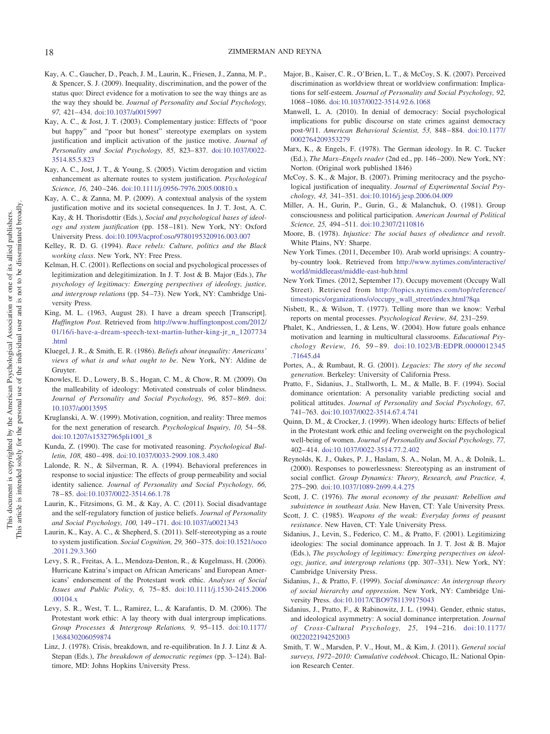- <span id="page-17-18"></span>Kay, A. C., Gaucher, D., Peach, J. M., Laurin, K., Friesen, J., Zanna, M. P., & Spencer, S. J. (2009). Inequality, discrimination, and the power of the status quo: Direct evidence for a motivation to see the way things are as the way they should be. *Journal of Personality and Social Psychology, 97,* 421– 434. [doi:10.1037/a0015997](http://dx.doi.org/10.1037/a0015997)
- <span id="page-17-26"></span>Kay, A. C., & Jost, J. T. (2003). Complementary justice: Effects of "poor but happy" and "poor but honest" stereotype exemplars on system justification and implicit activation of the justice motive. *Journal of Personality and Social Psychology, 85,* 823– 837. [doi:10.1037/0022-](http://dx.doi.org/10.1037/0022-3514.85.5.823) [3514.85.5.823](http://dx.doi.org/10.1037/0022-3514.85.5.823)
- <span id="page-17-34"></span>Kay, A. C., Jost, J. T., & Young, S. (2005). Victim derogation and victim enhancement as alternate routes to system justification. *Psychological Science, 16,* 240 –246. [doi:10.1111/j.0956-7976.2005.00810.x](http://dx.doi.org/10.1111/j.0956-7976.2005.00810.x)
- <span id="page-17-35"></span>Kay, A. C., & Zanna, M. P. (2009). A contextual analysis of the system justification motive and its societal consequences. In J. T. Jost, A. C. Kay, & H. Thorisdottir (Eds.), *Social and psychological bases of ideology and system justification* (pp. 158 –181). New York, NY: Oxford University Press. [doi:10.1093/acprof:oso/9780195320916.003.007](http://dx.doi.org/10.1093/acprof:oso/9780195320916.003.007)
- <span id="page-17-8"></span>Kelley, R. D. G. (1994). *Race rebels: Culture, politics and the Black working class*. New York, NY: Free Press.
- <span id="page-17-19"></span>Kelman, H. C. (2001). Reflections on social and psychological processes of legitimization and delegitimization. In J. T. Jost & B. Major (Eds.), *The psychology of legitimacy: Emerging perspectives of ideology, justice, and intergroup relations* (pp. 54 –73). New York, NY: Cambridge University Press.
- <span id="page-17-36"></span>King, M. L. (1963, August 28). I have a dream speech [Transcript]. *Huffington Post*. Retrieved from [http://www.huffingtonpost.com/2012/](http://www.huffingtonpost.com/2012/01/16/i-have-a-dream-speech-text-martin-luther-king-jr_n_1207734.html) [01/16/i-have-a-dream-speech-text-martin-luther-king-jr\\_n\\_1207734](http://www.huffingtonpost.com/2012/01/16/i-have-a-dream-speech-text-martin-luther-king-jr_n_1207734.html) [.html](http://www.huffingtonpost.com/2012/01/16/i-have-a-dream-speech-text-martin-luther-king-jr_n_1207734.html)
- <span id="page-17-4"></span>Kluegel, J. R., & Smith, E. R. (1986). *Beliefs about inequality: Americans' views of what is and what ought to be*. New York, NY: Aldine de Gruyter.
- <span id="page-17-27"></span>Knowles, E. D., Lowery, B. S., Hogan, C. M., & Chow, R. M. (2009). On the malleability of ideology: Motivated construals of color blindness. *Journal of Personality and Social Psychology, 96,* 857– 869. [doi:](http://dx.doi.org/10.1037/a0013595) [10.1037/a0013595](http://dx.doi.org/10.1037/a0013595)
- <span id="page-17-29"></span>Kruglanski, A. W. (1999). Motivation, cognition, and reality: Three memos for the next generation of research. *Psychological Inquiry, 10,* 54 –58. [doi:10.1207/s15327965pli1001\\_8](http://dx.doi.org/10.1207/s15327965pli1001_8)
- <span id="page-17-30"></span>Kunda, Z. (1990). The case for motivated reasoning. *Psychological Bulletin, 108,* 480 – 498. [doi:10.1037/0033-2909.108.3.480](http://dx.doi.org/10.1037/0033-2909.108.3.480)
- <span id="page-17-9"></span>Lalonde, R. N., & Silverman, R. A. (1994). Behavioral preferences in response to social injustice: The effects of group permeability and social identity salience. *Journal of Personality and Social Psychology, 66,* 78 – 85. [doi:10.1037/0022-3514.66.1.78](http://dx.doi.org/10.1037/0022-3514.66.1.78)
- <span id="page-17-15"></span>Laurin, K., Fitzsimons, G. M., & Kay, A. C. (2011). Social disadvantage and the self-regulatory function of justice beliefs. *Journal of Personality and Social Psychology, 100,* 149 –171. [doi:10.1037/a0021343](http://dx.doi.org/10.1037/a0021343)
- <span id="page-17-32"></span>Laurin, K., Kay, A. C., & Shepherd, S. (2011). Self-stereotyping as a route to system justification. *Social Cognition, 29,* 360 –375. [doi:10.1521/soco](http://dx.doi.org/10.1521/soco.2011.29.3.360) [.2011.29.3.360](http://dx.doi.org/10.1521/soco.2011.29.3.360)
- <span id="page-17-21"></span>Levy, S. R., Freitas, A. L., Mendoza-Denton, R., & Kugelmass, H. (2006). Hurricane Katrina's impact on African Americans' and European Americans' endorsement of the Protestant work ethic. *Analyses of Social Issues and Public Policy, 6,* 75– 85. [doi:10.1111/j.1530-2415.2006](http://dx.doi.org/10.1111/j.1530-2415.2006.00104.x) [.00104.x](http://dx.doi.org/10.1111/j.1530-2415.2006.00104.x)
- <span id="page-17-28"></span>Levy, S. R., West, T. L., Ramirez, L., & Karafantis, D. M. (2006). The Protestant work ethic: A lay theory with dual intergroup implications. *Group Processes & Intergroup Relations, 9,* 95–115. [doi:10.1177/](http://dx.doi.org/10.1177/1368430206059874) [1368430206059874](http://dx.doi.org/10.1177/1368430206059874)
- <span id="page-17-20"></span>Linz, J. (1978). Crisis, breakdown, and re-equilibration. In J. J. Linz & A. Stepan (Eds.), *The breakdown of democratic regimes* (pp. 3–124). Baltimore, MD: Johns Hopkins University Press.
- <span id="page-17-17"></span>Major, B., Kaiser, C. R., O'Brien, L. T., & McCoy, S. K. (2007). Perceived discrimination as worldview threat or worldview confirmation: Implications for self-esteem. *Journal of Personality and Social Psychology, 92,* 1068 –1086. [doi:10.1037/0022-3514.92.6.1068](http://dx.doi.org/10.1037/0022-3514.92.6.1068)
- <span id="page-17-23"></span>Manwell, L. A. (2010). In denial of democracy: Social psychological implications for public discourse on state crimes against democracy post-9/11. *American Behavioral Scientist, 53,* 848 – 884. [doi:10.1177/](http://dx.doi.org/10.1177/0002764209353279) [0002764209353279](http://dx.doi.org/10.1177/0002764209353279)
- <span id="page-17-2"></span>Marx, K., & Engels, F. (1978). The German ideology. In R. C. Tucker (Ed.), *The Marx–Engels reader* (2nd ed., pp. 146 –200). New York, NY: Norton. (Original work published 1846)
- <span id="page-17-5"></span>McCoy, S. K., & Major, B. (2007). Priming meritocracy and the psychological justification of inequality. *Journal of Experimental Social Psychology, 43,* 341–351. [doi:10.1016/j.jesp.2006.04.009](http://dx.doi.org/10.1016/j.jesp.2006.04.009)
- <span id="page-17-10"></span>Miller, A. H., Gurin, P., Gurin, G., & Malanchuk, O. (1981). Group consciousness and political participation. *American Journal of Political Science, 25,* 494 –511. [doi:10.2307/2110816](http://dx.doi.org/10.2307/2110816)
- <span id="page-17-16"></span>Moore, B. (1978). *Injustice: The social bases of obedience and revolt*. White Plains, NY: Sharpe.
- <span id="page-17-13"></span>New York Times. (2011, December 10). Arab world uprisings: A countryby-country look. Retrieved from [http://www.nytimes.com/interactive/](http://www.nytimes.com/interactive/world/middleeast/middle-east-hub.html) [world/middleeast/middle-east-hub.html](http://www.nytimes.com/interactive/world/middleeast/middle-east-hub.html)
- <span id="page-17-14"></span>New York Times. (2012, September 17). Occupy movement (Occupy Wall Street). Retrieved from [http://topics.nytimes.com/top/reference/](http://topics.nytimes.com/top/reference/timestopics/organizations/o/occupy_wall_street/index.html?8qa) [timestopics/organizations/o/occupy\\_wall\\_street/index.html?8qa](http://topics.nytimes.com/top/reference/timestopics/organizations/o/occupy_wall_street/index.html?8qa)
- <span id="page-17-31"></span>Nisbett, R., & Wilson, T. (1977). Telling more than we know: Verbal reports on mental processes. *Psychological Review, 84,* 231–259.
- <span id="page-17-1"></span>Phalet, K., Andriessen, I., & Lens, W. (2004). How future goals enhance motivation and learning in multicultural classrooms. *Educational Psychology Review, 16,* 59 – 89. [doi:10.1023/B:EDPR.0000012345](http://dx.doi.org/10.1023/B:EDPR.0000012345.71645.d4) [.71645.d4](http://dx.doi.org/10.1023/B:EDPR.0000012345.71645.d4)
- <span id="page-17-0"></span>Portes, A., & Rumbaut, R. G. (2001). *Legacies: The story of the second generation*. Berkeley: University of California Press.
- <span id="page-17-24"></span>Pratto, F., Sidanius, J., Stallworth, L. M., & Malle, B. F. (1994). Social dominance orientation: A personality variable predicting social and political attitudes. *Journal of Personality and Social Psychology, 67,* 741–763. [doi:10.1037/0022-3514.67.4.741](http://dx.doi.org/10.1037/0022-3514.67.4.741)
- <span id="page-17-22"></span>Quinn, D. M., & Crocker, J. (1999). When ideology hurts: Effects of belief in the Protestant work ethic and feeling overweight on the psychological well-being of women. *Journal of Personality and Social Psychology, 77,* 402– 414. [doi:10.1037/0022-3514.77.2.402](http://dx.doi.org/10.1037/0022-3514.77.2.402)
- <span id="page-17-33"></span>Reynolds, K. J., Oakes, P. J., Haslam, S. A., Nolan, M. A., & Dolnik, L. (2000). Responses to powerlessness: Stereotyping as an instrument of social conflict. *Group Dynamics: Theory, Research, and Practice, 4,* 275–290. [doi:10.1037/1089-2699.4.4.275](http://dx.doi.org/10.1037/1089-2699.4.4.275)
- <span id="page-17-11"></span>Scott, J. C. (1976). *The moral economy of the peasant: Rebellion and subsistence in southeast Asia*. New Haven, CT: Yale University Press.
- <span id="page-17-12"></span>Scott, J. C. (1985). *Weapons of the weak: Everyday forms of peasant resistance*. New Haven, CT: Yale University Press.
- <span id="page-17-7"></span>Sidanius, J., Levin, S., Federico, C. M., & Pratto, F. (2001). Legitimizing ideologies: The social dominance approach. In J. T. Jost & B. Major (Eds.), *The psychology of legitimacy: Emerging perspectives on ideology, justice, and intergroup relations* (pp. 307–331). New York, NY: Cambridge University Press.
- <span id="page-17-3"></span>Sidanius, J., & Pratto, F. (1999). *Social dominance: An intergroup theory of social hierarchy and oppression*. New York, NY: Cambridge University Press. [doi:10.1017/CBO9781139175043](http://dx.doi.org/10.1017/CBO9781139175043)
- <span id="page-17-6"></span>Sidanius, J., Pratto, F., & Rabinowitz, J. L. (1994). Gender, ethnic status, and ideological asymmetry: A social dominance interpretation. *Journal of Cross-Cultural Psychology, 25,* 194 –216. [doi:10.1177/](http://dx.doi.org/10.1177/0022022194252003) [0022022194252003](http://dx.doi.org/10.1177/0022022194252003)
- <span id="page-17-25"></span>Smith, T. W., Marsden, P. V., Hout, M., & Kim, J. (2011). *General social surveys, 1972–2010: Cumulative codebook*. Chicago, IL: National Opinion Research Center.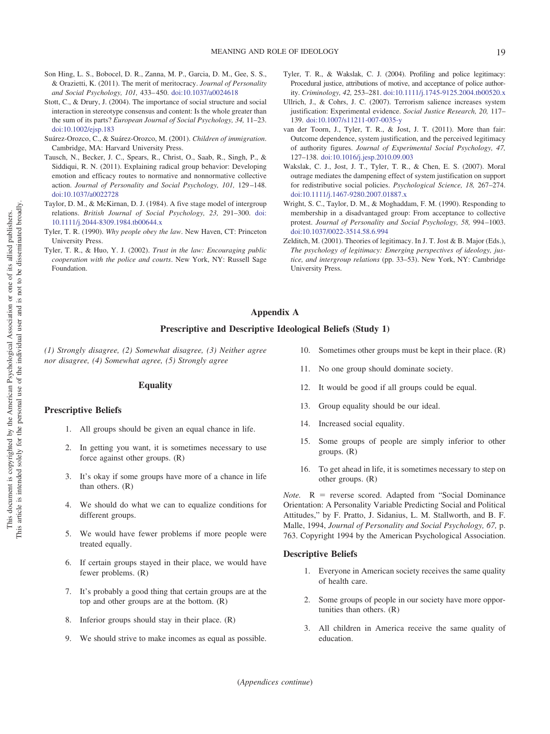- Son Hing, L. S., Bobocel, D. R., Zanna, M. P., Garcia, D. M., Gee, S. S., & Orazietti, K. (2011). The merit of meritocracy. *Journal of Personality and Social Psychology, 101,* 433– 450. [doi:10.1037/a0024618](http://dx.doi.org/10.1037/a0024618)
- <span id="page-18-9"></span>Stott, C., & Drury, J. (2004). The importance of social structure and social interaction in stereotype consensus and content: Is the whole greater than the sum of its parts? *European Journal of Social Psychology, 34,* 11–23. [doi:10.1002/ejsp.183](http://dx.doi.org/10.1002/ejsp.183)
- <span id="page-18-0"></span>Suárez-Orozco, C., & Suárez-Orozco, M. (2001). *Children of immigration*. Cambridge, MA: Harvard University Press.
- <span id="page-18-2"></span>Tausch, N., Becker, J. C., Spears, R., Christ, O., Saab, R., Singh, P., & Siddiqui, R. N. (2011). Explaining radical group behavior: Developing emotion and efficacy routes to normative and nonnormative collective action. *Journal of Personality and Social Psychology, 101,* 129 –148. [doi:10.1037/a0022728](http://dx.doi.org/10.1037/a0022728)
- <span id="page-18-5"></span>Taylor, D. M., & McKirnan, D. J. (1984). A five stage model of intergroup relations. *British Journal of Social Psychology, 23,* 291–300. [doi:](http://dx.doi.org/10.1111/j.2044-8309.1984.tb00644.x) [10.1111/j.2044-8309.1984.tb00644.x](http://dx.doi.org/10.1111/j.2044-8309.1984.tb00644.x)
- <span id="page-18-6"></span>Tyler, T. R. (1990). *Why people obey the law*. New Haven, CT: Princeton University Press.
- <span id="page-18-7"></span>Tyler, T. R., & Huo, Y. J. (2002). *Trust in the law: Encouraging public cooperation with the police and courts*. New York, NY: Russell Sage Foundation.
- <span id="page-18-8"></span>Tyler, T. R., & Wakslak, C. J. (2004). Profiling and police legitimacy: Procedural justice, attributions of motive, and acceptance of police authority. *Criminology, 42,* 253–281. [doi:10.1111/j.1745-9125.2004.tb00520.x](http://dx.doi.org/10.1111/j.1745-9125.2004.tb00520.x)
- <span id="page-18-11"></span>Ullrich, J., & Cohrs, J. C. (2007). Terrorism salience increases system justification: Experimental evidence. *Social Justice Research, 20,* 117– 139. [doi:10.1007/s11211-007-0035-y](http://dx.doi.org/10.1007/s11211-007-0035-y)
- <span id="page-18-10"></span>van der Toorn, J., Tyler, T. R., & Jost, J. T. (2011). More than fair: Outcome dependence, system justification, and the perceived legitimacy of authority figures. *Journal of Experimental Social Psychology, 47,* 127–138. [doi:10.1016/j.jesp.2010.09.003](http://dx.doi.org/10.1016/j.jesp.2010.09.003)
- <span id="page-18-1"></span>Wakslak, C. J., Jost, J. T., Tyler, T. R., & Chen, E. S. (2007). Moral outrage mediates the dampening effect of system justification on support for redistributive social policies. *Psychological Science, 18,* 267–274. [doi:10.1111/j.1467-9280.2007.01887.x](http://dx.doi.org/10.1111/j.1467-9280.2007.01887.x)
- <span id="page-18-3"></span>Wright, S. C., Taylor, D. M., & Moghaddam, F. M. (1990). Responding to membership in a disadvantaged group: From acceptance to collective protest. *Journal of Personality and Social Psychology, 58,* 994 –1003. [doi:10.1037/0022-3514.58.6.994](http://dx.doi.org/10.1037/0022-3514.58.6.994)
- <span id="page-18-4"></span>Zelditch, M. (2001). Theories of legitimacy. In J. T. Jost & B. Major (Eds.), *The psychology of legitimacy: Emerging perspectives of ideology, justice, and intergroup relations* (pp. 33–53). New York, NY: Cambridge University Press.

## **Appendix A**

# **Prescriptive and Descriptive Ideological Beliefs (Study 1)**

*(1) Strongly disagree, (2) Somewhat disagree, (3) Neither agree nor disagree, (4) Somewhat agree, (5) Strongly agree*

#### **Equality**

## **Prescriptive Beliefs**

- 1. All groups should be given an equal chance in life.
- 2. In getting you want, it is sometimes necessary to use force against other groups. (R)
- 3. It's okay if some groups have more of a chance in life than others. (R)
- 4. We should do what we can to equalize conditions for different groups.
- 5. We would have fewer problems if more people were treated equally.
- 6. If certain groups stayed in their place, we would have fewer problems. (R)
- 7. It's probably a good thing that certain groups are at the top and other groups are at the bottom. (R)
- 8. Inferior groups should stay in their place. (R)
- 9. We should strive to make incomes as equal as possible.
- 10. Sometimes other groups must be kept in their place. (R)
- 11. No one group should dominate society.
- 12. It would be good if all groups could be equal.
- 13. Group equality should be our ideal.
- 14. Increased social equality.
- 15. Some groups of people are simply inferior to other groups. (R)
- 16. To get ahead in life, it is sometimes necessary to step on other groups. (R)

*Note.*  $R$  = reverse scored. Adapted from "Social Dominance Orientation: A Personality Variable Predicting Social and Political Attitudes," by F. Pratto, J. Sidanius, L. M. Stallworth, and B. F. Malle, 1994, *Journal of Personality and Social Psychology, 67,* p. 763. Copyright 1994 by the American Psychological Association.

## **Descriptive Beliefs**

- 1. Everyone in American society receives the same quality of health care.
- 2. Some groups of people in our society have more opportunities than others. (R)
- 3. All children in America receive the same quality of education.

This article is intended solely for the personal use of the individual user and is not to be disseminated broadly.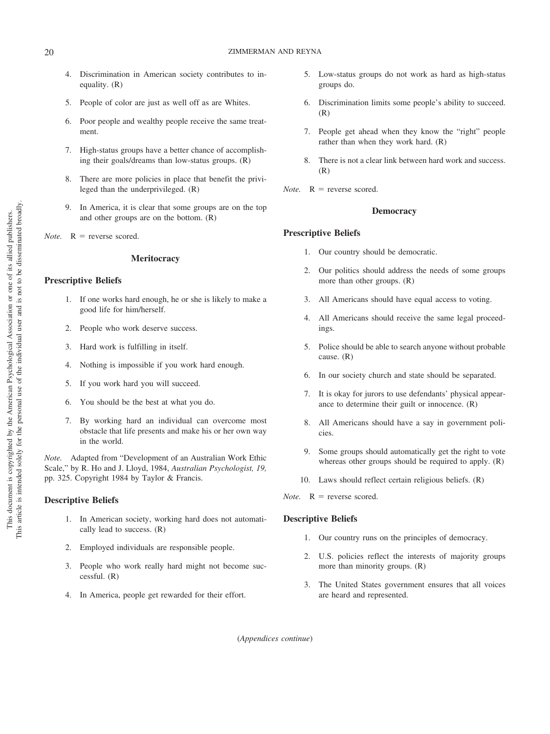- 4. Discrimination in American society contributes to inequality. (R)
- 5. People of color are just as well off as are Whites.
- 6. Poor people and wealthy people receive the same treatment.
- 7. High-status groups have a better chance of accomplishing their goals/dreams than low-status groups. (R)
- 8. There are more policies in place that benefit the privileged than the underprivileged. (R)
- 9. In America, it is clear that some groups are on the top and other groups are on the bottom. (R)

# **Meritocracy**

# **Prescriptive Beliefs**

- 1. If one works hard enough, he or she is likely to make a good life for him/herself.
- 2. People who work deserve success.
- 3. Hard work is fulfilling in itself.
- 4. Nothing is impossible if you work hard enough.
- 5. If you work hard you will succeed.
- 6. You should be the best at what you do.
- 7. By working hard an individual can overcome most obstacle that life presents and make his or her own way in the world.

*Note.* Adapted from "Development of an Australian Work Ethic Scale," by R. Ho and J. Lloyd, 1984, *Australian Psychologist, 19,* pp. 325. Copyright 1984 by Taylor & Francis.

# **Descriptive Beliefs**

- 1. In American society, working hard does not automatically lead to success. (R)
- 2. Employed individuals are responsible people.
- 3. People who work really hard might not become successful. (R)
- 4. In America, people get rewarded for their effort.
- 5. Low-status groups do not work as hard as high-status groups do.
- 6. Discrimination limits some people's ability to succeed. (R)
- 7. People get ahead when they know the "right" people rather than when they work hard. (R)
- 8. There is not a clear link between hard work and success.  $(R)$
- *Note.*  $R$  = reverse scored.

# **Democracy**

# **Prescriptive Beliefs**

- 1. Our country should be democratic.
- 2. Our politics should address the needs of some groups more than other groups. (R)
- 3. All Americans should have equal access to voting.
- 4. All Americans should receive the same legal proceedings.
- 5. Police should be able to search anyone without probable cause. (R)
- 6. In our society church and state should be separated.
- 7. It is okay for jurors to use defendants' physical appearance to determine their guilt or innocence. (R)
- 8. All Americans should have a say in government policies.
- 9. Some groups should automatically get the right to vote whereas other groups should be required to apply. (R)
- 10. Laws should reflect certain religious beliefs. (R)
- *Note.*  $R$  = reverse scored.

# **Descriptive Beliefs**

- 1. Our country runs on the principles of democracy.
- 2. U.S. policies reflect the interests of majority groups more than minority groups. (R)
- 3. The United States government ensures that all voices are heard and represented.

(*Appendices continue*)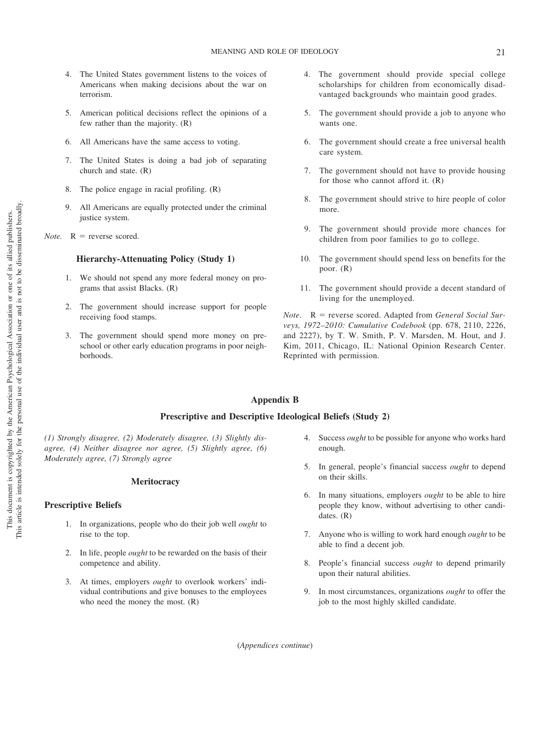- 4. The United States government listens to the voices of Americans when making decisions about the war on terrorism.
- 5. American political decisions reflect the opinions of a few rather than the majority. (R)
- 6. All Americans have the same access to voting.
- 7. The United States is doing a bad job of separating church and state. (R)
- 8. The police engage in racial profiling. (R)
- All Americans are equally protected under the criminal justice system.

# **Hierarchy-Attenuating Policy (Study 1)**

- 1. We should not spend any more federal money on programs that assist Blacks. (R)
- 2. The government should increase support for people receiving food stamps.
- 3. The government should spend more money on preschool or other early education programs in poor neighborhoods.
- 4. The government should provide special college scholarships for children from economically disadvantaged backgrounds who maintain good grades.
- 5. The government should provide a job to anyone who wants one.
- 6. The government should create a free universal health care system.
- 7. The government should not have to provide housing for those who cannot afford it. (R)
- 8. The government should strive to hire people of color more.
- 9. The government should provide more chances for children from poor families to go to college.
- 10. The government should spend less on benefits for the poor. (R)
- 11. The government should provide a decent standard of living for the unemployed.

*Note.*  $R$  = reverse scored. Adapted from *General Social Surveys, 1972–2010: Cumulative Codebook* (pp. 678, 2110, 2226, and 2227), by T. W. Smith, P. V. Marsden, M. Hout, and J. Kim, 2011, Chicago, IL: National Opinion Research Center. Reprinted with permission.

# **Appendix B**

# **Prescriptive and Descriptive Ideological Beliefs (Study 2)**

*(1) Strongly disagree, (2) Moderately disagree, (3) Slightly disagree, (4) Neither disagree nor agree, (5) Slightly agree, (6) Moderately agree, (7) Strongly agree*

#### **Meritocracy**

# **Prescriptive Beliefs**

- 1. In organizations, people who do their job well *ought* to rise to the top.
- 2. In life, people *ought* to be rewarded on the basis of their competence and ability.
- 3. At times, employers *ought* to overlook workers' individual contributions and give bonuses to the employees who need the money the most. (R)
- 4. Success *ought* to be possible for anyone who works hard enough.
- 5. In general, people's financial success *ought* to depend on their skills.
- 6. In many situations, employers *ought* to be able to hire people they know, without advertising to other candidates. (R)
- 7. Anyone who is willing to work hard enough *ought* to be able to find a decent job.
- 8. People's financial success *ought* to depend primarily upon their natural abilities.
- 9. In most circumstances, organizations *ought* to offer the job to the most highly skilled candidate.

(*Appendices continue*)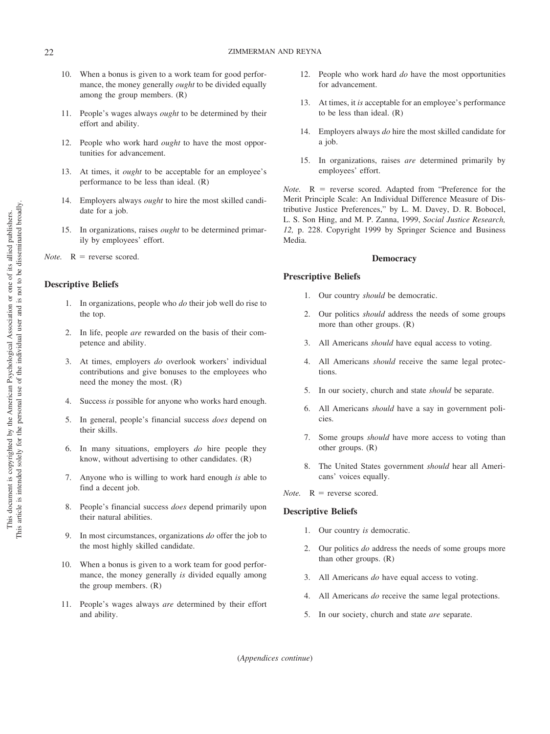- 10. When a bonus is given to a work team for good performance, the money generally *ought* to be divided equally among the group members. (R)
- 11. People's wages always *ought* to be determined by their effort and ability.
- 12. People who work hard *ought* to have the most opportunities for advancement.
- 13. At times, it *ought* to be acceptable for an employee's performance to be less than ideal. (R)
- 14. Employers always *ought* to hire the most skilled candidate for a job.
- 15. In organizations, raises *ought* to be determined primarily by employees' effort.

# **Descriptive Beliefs**

- 1. In organizations, people who *do* their job well do rise to the top.
- 2. In life, people *are* rewarded on the basis of their competence and ability.
- 3. At times, employers *do* overlook workers' individual contributions and give bonuses to the employees who need the money the most. (R)
- 4. Success *is* possible for anyone who works hard enough.
- 5. In general, people's financial success *does* depend on their skills.
- 6. In many situations, employers *do* hire people they know, without advertising to other candidates. (R)
- 7. Anyone who is willing to work hard enough *is* able to find a decent job.
- 8. People's financial success *does* depend primarily upon their natural abilities.
- 9. In most circumstances, organizations *do* offer the job to the most highly skilled candidate.
- 10. When a bonus is given to a work team for good performance, the money generally *is* divided equally among the group members. (R)
- 11. People's wages always *are* determined by their effort and ability.
- 12. People who work hard *do* have the most opportunities for advancement.
- 13. At times, it *is* acceptable for an employee's performance to be less than ideal. (R)
- 14. Employers always *do* hire the most skilled candidate for a job.
- 15. In organizations, raises *are* determined primarily by employees' effort.

*Note.* R = reverse scored. Adapted from "Preference for the Merit Principle Scale: An Individual Difference Measure of Distributive Justice Preferences," by L. M. Davey, D. R. Bobocel, L. S. Son Hing, and M. P. Zanna, 1999, *Social Justice Research, 12,* p. 228. Copyright 1999 by Springer Science and Business Media.

#### **Democracy**

# **Prescriptive Beliefs**

- 1. Our country *should* be democratic.
- 2. Our politics *should* address the needs of some groups more than other groups. (R)
- 3. All Americans *should* have equal access to voting.
- 4. All Americans *should* receive the same legal protections.
- 5. In our society, church and state *should* be separate.
- 6. All Americans *should* have a say in government policies.
- 7. Some groups *should* have more access to voting than other groups. (R)
- 8. The United States government *should* hear all Americans' voices equally.

*Note.*  $R$  = reverse scored.

# **Descriptive Beliefs**

- 1. Our country *is* democratic.
- 2. Our politics *do* address the needs of some groups more than other groups. (R)
- 3. All Americans *do* have equal access to voting.
- 4. All Americans *do* receive the same legal protections.
- 5. In our society, church and state *are* separate.